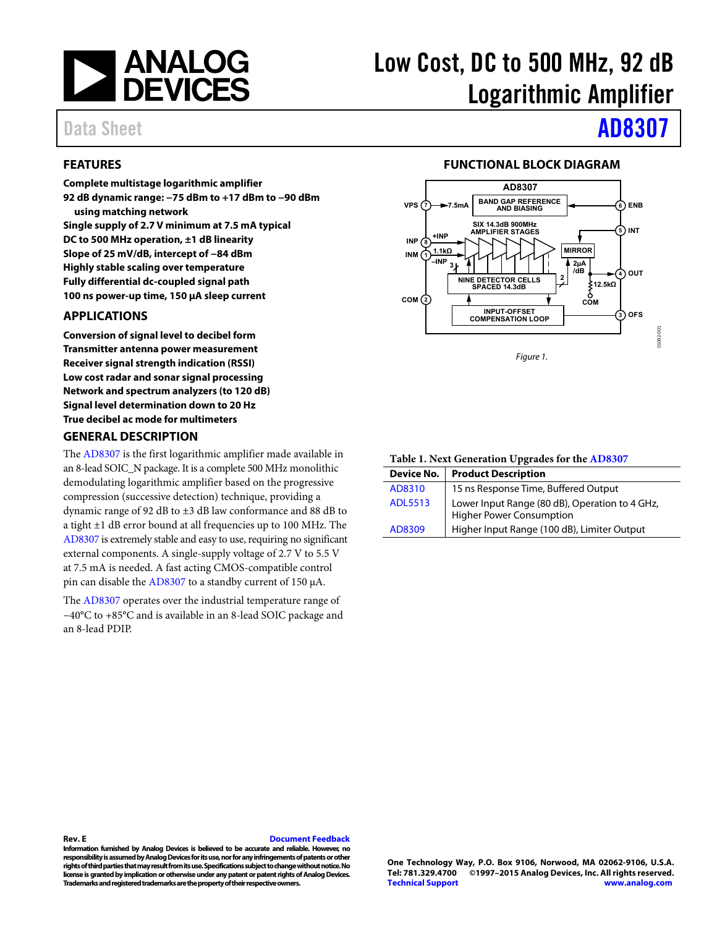

## <span id="page-0-0"></span>**FEATURES**

**Complete multistage logarithmic amplifier 92 dB dynamic range: −75 dBm to +17 dBm to −90 dBm using matching network Single supply of 2.7 V minimum at 7.5 mA typical DC to 500 MHz operation, ±1 dB linearity Slope of 25 mV/dB, intercept of −84 dBm Highly stable scaling over temperature Fully differential dc-coupled signal path 100 ns power-up time, 150 μA sleep current** 

## <span id="page-0-1"></span>**APPLICATIONS**

**Conversion of signal level to decibel form Transmitter antenna power measurement Receiver signal strength indication (RSSI) Low cost radar and sonar signal processing Network and spectrum analyzers (to 120 dB) Signal level determination down to 20 Hz True decibel ac mode for multimeters** 

### <span id="page-0-3"></span>**GENERAL DESCRIPTION**

The [AD8307 i](http://www.analog.com/AD8307?doc=AD8307.pdf)s the first logarithmic amplifier made available in an 8-lead SOIC\_N package. It is a complete 500 MHz monolithic demodulating logarithmic amplifier based on the progressive compression (successive detection) technique, providing a dynamic range of 92 dB to ±3 dB law conformance and 88 dB to a tight ±1 dB error bound at all frequencies up to 100 MHz. The [AD8307 i](http://www.analog.com/AD8307?doc=AD8307.pdf)s extremely stable and easy to use, requiring no significant external components. A single-supply voltage of 2.7 V to 5.5 V at 7.5 mA is needed. A fast acting CMOS-compatible control pin can disable the [AD8307 t](http://www.analog.com/AD8307?doc=AD8307.pdf)o a standby current of 150 μA.

The [AD8307 o](http://www.analog.com/AD8307?doc=AD8307.pdf)perates over the industrial temperature range of −40°C to +85°C and is available in an 8-lead SOIC package and an 8-lead PDIP.

# Low Cost, DC to 500 MHz, 92 dB Logarithmic Amplifier

# Data Sheet **[AD8307](http://www.analog.com/AD8307?doc=AD8307.pdf)**

### **FUNCTIONAL BLOCK DIAGRAM**

<span id="page-0-2"></span>

### **Table 1. Next Generation Upgrades for the [AD8307](http://www.analog.com/AD8307?doc=AD8307.pdf)**

| Device No.     | <b>Product Description</b>                                                        |
|----------------|-----------------------------------------------------------------------------------|
| AD8310         | 15 ns Response Time, Buffered Output                                              |
| <b>ADL5513</b> | Lower Input Range (80 dB), Operation to 4 GHz,<br><b>Higher Power Consumption</b> |
| AD8309         | Higher Input Range (100 dB), Limiter Output                                       |

### **Rev. E [Document Feedback](https://form.analog.com/Form_Pages/feedback/documentfeedback.aspx?doc=AD8307.pdf&product=AD8307&rev=E)**

**Information furnished by Analog Devices is believed to be accurate and reliable. However, no responsibility is assumed by Analog Devices for its use, nor for any infringements of patents or other rights of third parties that may result from its use. Specifications subject to change without notice. No license is granted by implication or otherwise under any patent or patent rights of Analog Devices. Trademarks and registered trademarks are the property of their respective owners.**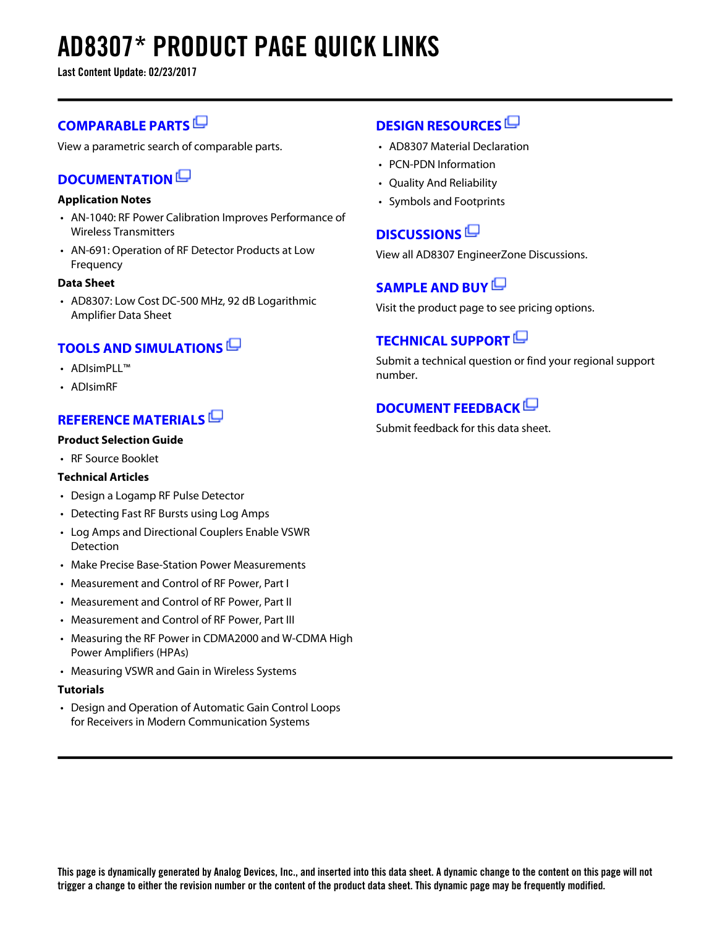# **AD8307\* PRODUCT PAGE QUICK LINKS**

**Last Content Update: 02/23/2017**

## **[COMPARABLE PARTS](http://www.analog.com/parametricsearch/en/10702?doc=AD8307.pdf&p0=1&lsrc=pst)**

View a parametric search of comparable parts.

## **[DOCUMENTATION](http://www.analog.com/ad8307/documentation?doc=AD8307.pdf&p0=1&lsrc=doc)**

## **Application Notes**

- AN-1040: RF Power Calibration Improves Performance of Wireless Transmitters
- AN-691: Operation of RF Detector Products at Low Frequency

### **Data Sheet**

• AD8307: Low Cost DC-500 MHz, 92 dB Logarithmic Amplifier Data Sheet

## **[TOOLS AND SIMULATIONS](http://www.analog.com/ad8307/tools?doc=AD8307.pdf&p0=1&lsrc=tools)**

- ADIsimPLL™
- ADIsimRF

## **[REFERENCE MATERIALS](http://www.analog.com/ad8307/referencematerials?doc=AD8307.pdf&p0=1&lsrc=rm)**

## **Product Selection Guide**

• RF Source Booklet

### **Technical Articles**

- Design a Logamp RF Pulse Detector
- Detecting Fast RF Bursts using Log Amps
- Log Amps and Directional Couplers Enable VSWR Detection
- Make Precise Base-Station Power Measurements
- Measurement and Control of RF Power, Part I
- Measurement and Control of RF Power, Part II
- Measurement and Control of RF Power, Part III
- Measuring the RF Power in CDMA2000 and W-CDMA High Power Amplifiers (HPAs)
- Measuring VSWR and Gain in Wireless Systems

### **Tutorials**

• Design and Operation of Automatic Gain Control Loops for Receivers in Modern Communication Systems

## **[DESIGN RESOURCES](http://www.analog.com/ad8307/designsources?doc=AD8307.pdf&p0=1&lsrc=dr)**

- AD8307 Material Declaration
- PCN-PDN Information
- Quality And Reliability
- Symbols and Footprints

## **[DISCUSSIONS](http://www.analog.com/ad8307/discussions?doc=AD8307.pdf&p0=1&lsrc=disc)**

View all AD8307 EngineerZone Discussions.

## **[SAMPLE AND BUY](http://www.analog.com/ad8307/sampleandbuy?doc=AD8307.pdf&p0=1&lsrc=sb)**

Visit the product page to see pricing options.

## **[TECHNICAL SUPPORT](http://www.analog.com/support/technical-support.html?doc=AD8307.pdf&p0=1&lsrc=techs)**

Submit a technical question or find your regional support number.

## **[DOCUMENT FEEDBACK](https://form.analog.com/Form_Pages/feedback/documentfeedback.aspx?doc=AD8307.pdf&product=AD8307&p0=1&lsrc=dfs)**

Submit feedback for this data sheet.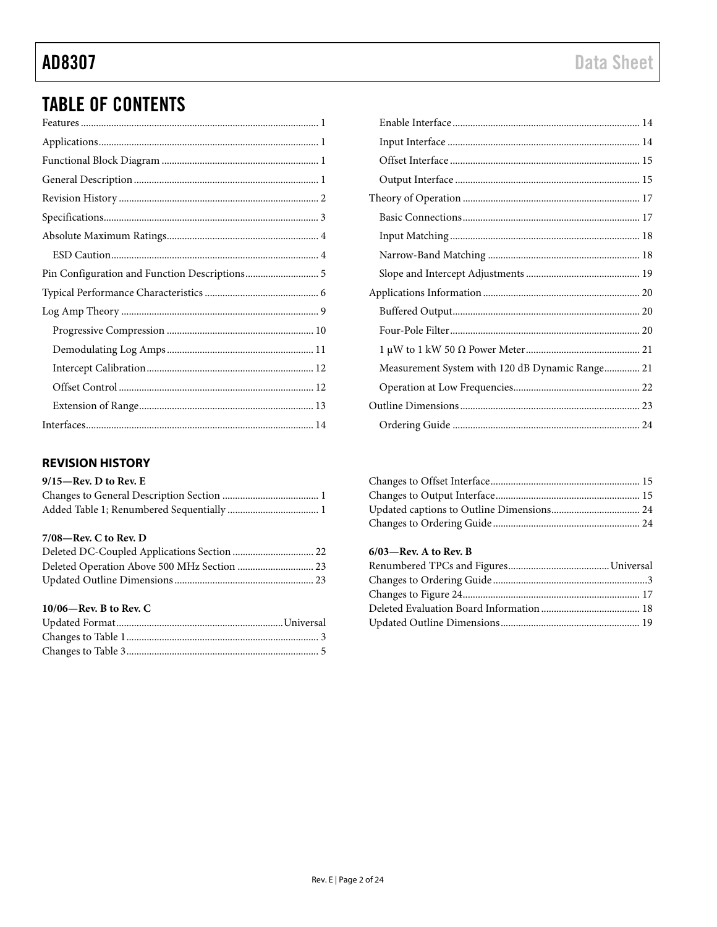# **Data Sheet**

# **TABLE OF CONTENTS**

| Pin Configuration and Function Descriptions 5 |
|-----------------------------------------------|
|                                               |
|                                               |
|                                               |
|                                               |
|                                               |
|                                               |
|                                               |
|                                               |

## <span id="page-2-0"></span>**REVISION HISTORY**

### $9/15$ —Rev. D to Rev. E

### 7/08-Rev. C to Rev. D

### 10/06-Rev. B to Rev. C

| Measurement System with 120 dB Dynamic Range 21 |  |
|-------------------------------------------------|--|
|                                                 |  |
|                                                 |  |
|                                                 |  |
|                                                 |  |

### $6/03$ —Rev. A to Rev. B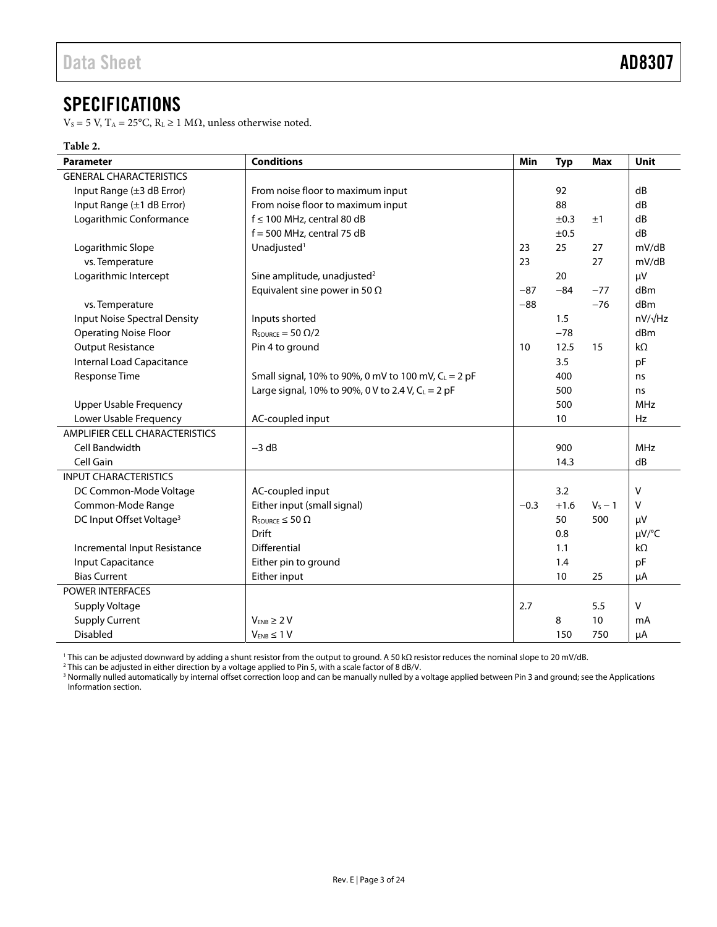## <span id="page-3-0"></span>SPECIFICATIONS

V<sub>S</sub> = 5 V, T<sub>A</sub> = 25°C, R<sub>L</sub> ≥ 1 MΩ, unless otherwise noted.

## **Table 2.**

| <b>Parameter</b>                     | <b>Conditions</b>                                               | Min    | <b>Typ</b> | <b>Max</b> | Unit       |
|--------------------------------------|-----------------------------------------------------------------|--------|------------|------------|------------|
| <b>GENERAL CHARACTERISTICS</b>       |                                                                 |        |            |            |            |
| Input Range (±3 dB Error)            | From noise floor to maximum input                               |        | 92         |            | dB         |
| Input Range (±1 dB Error)            |                                                                 | 88     |            | dB         |            |
| Logarithmic Conformance              | $f \le 100$ MHz, central 80 dB                                  |        | ±0.3       | ±1         | dB         |
|                                      | $f = 500$ MHz, central 75 dB                                    |        | ±0.5       |            | dB         |
| Logarithmic Slope                    | Unadjusted <sup>1</sup>                                         | 23     | 25         | 27         | mV/dB      |
| vs. Temperature                      |                                                                 | 23     |            | 27         | mV/dB      |
| Logarithmic Intercept                | Sine amplitude, unadjusted <sup>2</sup>                         |        | 20         |            | μV         |
|                                      | Equivalent sine power in 50 $\Omega$                            | $-87$  | $-84$      | $-77$      | dBm        |
| vs. Temperature                      |                                                                 | $-88$  |            | $-76$      | dBm        |
| <b>Input Noise Spectral Density</b>  | Inputs shorted                                                  |        | 1.5        |            | nV/√Hz     |
| <b>Operating Noise Floor</b>         | $R_{\text{SOWRCE}} = 50 \Omega/2$                               |        | $-78$      |            | dBm        |
| <b>Output Resistance</b>             | Pin 4 to ground                                                 | 10     | 12.5       | 15         | $k\Omega$  |
| Internal Load Capacitance            |                                                                 |        | 3.5        |            | pF         |
| Response Time                        | Small signal, 10% to 90%, 0 mV to 100 mV, C <sub>L</sub> = 2 pF |        | 400        |            | ns         |
|                                      | Large signal, 10% to 90%, 0 V to 2.4 V, $C_L = 2$ pF            |        | 500        |            | ns         |
| <b>Upper Usable Frequency</b>        |                                                                 |        | 500        |            | <b>MHz</b> |
| Lower Usable Frequency               | AC-coupled input                                                |        | 10         |            | <b>Hz</b>  |
| AMPLIFIER CELL CHARACTERISTICS       |                                                                 |        |            |            |            |
| Cell Bandwidth                       | $-3 dB$                                                         |        | 900        |            | <b>MHz</b> |
| Cell Gain                            |                                                                 |        | 14.3       |            | dB         |
| <b>INPUT CHARACTERISTICS</b>         |                                                                 |        |            |            |            |
| DC Common-Mode Voltage               | AC-coupled input                                                |        | 3.2        |            | $\vee$     |
| Common-Mode Range                    | Either input (small signal)                                     | $-0.3$ | $+1.6$     | $V_S - 1$  | $\vee$     |
| DC Input Offset Voltage <sup>3</sup> | $R_{\text{SOURCE}} \leq 50 \Omega$                              |        | 50         | 500        | μV         |
|                                      | Drift                                                           |        | 0.8        |            | µV/°C      |
| Incremental Input Resistance         | Differential                                                    |        | 1.1        |            | kΩ         |
| Input Capacitance                    | Either pin to ground                                            |        | 1.4        |            | pF         |
| <b>Bias Current</b>                  | Either input                                                    |        | 10         | 25         | μA         |
| <b>POWER INTERFACES</b>              |                                                                 |        |            |            |            |
| Supply Voltage                       |                                                                 | 2.7    |            | 5.5        | v          |
| <b>Supply Current</b>                | $V_{FNR} \geq 2V$                                               |        | 8          | 10         | mA         |
| <b>Disabled</b>                      | $V_{ENB} \leq 1 V$                                              |        | 150        | 750        | μA         |

<sup>1</sup> This can be adjusted downward by adding a shunt resistor from the output to ground. A 50 kΩ resistor reduces the nominal slope to 20 mV/dB.<br><sup>2</sup> This can be adjusted in either direction by a voltage applied to Pin 5, w [Information s](#page-20-0)ection.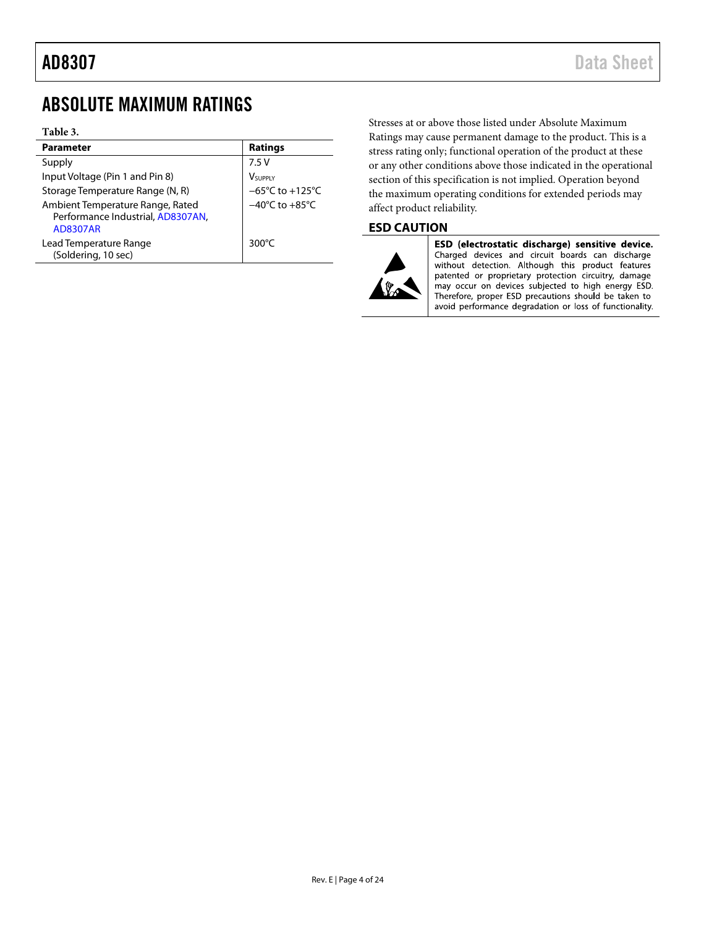## <span id="page-4-0"></span>ABSOLUTE MAXIMUM RATINGS

### **Table 3.**

| <b>Parameter</b>                                                                         | <b>Ratings</b>                       |
|------------------------------------------------------------------------------------------|--------------------------------------|
| Supply                                                                                   | 7.5V                                 |
| Input Voltage (Pin 1 and Pin 8)                                                          | VSUPPLY                              |
| Storage Temperature Range (N, R)                                                         | $-65^{\circ}$ C to +125 $^{\circ}$ C |
| Ambient Temperature Range, Rated<br>Performance Industrial, AD8307AN,<br><b>AD8307AR</b> | $-40^{\circ}$ C to $+85^{\circ}$ C   |
| Lead Temperature Range<br>(Soldering, 10 sec)                                            | 300 $\degree$ C                      |

Stresses at or above those listed under Absolute Maximum Ratings may cause permanent damage to the product. This is a stress rating only; functional operation of the product at these or any other conditions above those indicated in the operational section of this specification is not implied. Operation beyond the maximum operating conditions for extended periods may affect product reliability.

## <span id="page-4-1"></span>**ESD CAUTION**



ESD (electrostatic discharge) sensitive device. Charged devices and circuit boards can discharge without detection. Although this product features patented or proprietary protection circuitry, damage<br>may occur on devices subjected to high energy ESD. Therefore, proper ESD precautions should be taken to avoid performance degradation or loss of functionality.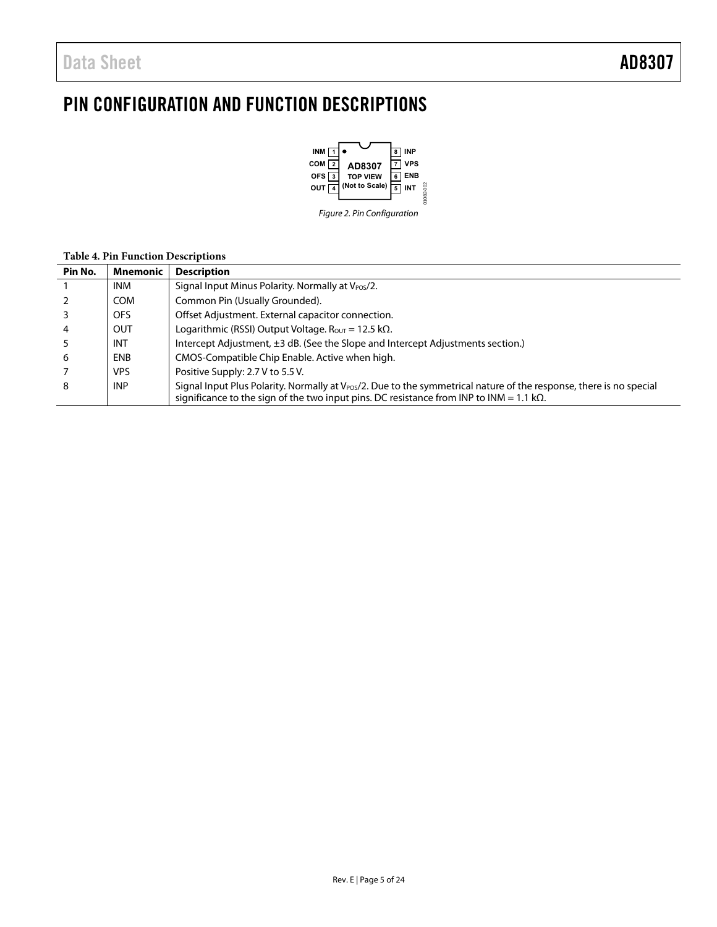# <span id="page-5-0"></span>PIN CONFIGURATION AND FUNCTION DESCRIPTIONS



### **Table 4. Pin Function Descriptions**

| Pin No.        | Mnemonic   | <b>Description</b>                                                                                                                                                                                                                  |
|----------------|------------|-------------------------------------------------------------------------------------------------------------------------------------------------------------------------------------------------------------------------------------|
|                | INM.       | Signal Input Minus Polarity. Normally at $V_{POS}/2$ .                                                                                                                                                                              |
|                | <b>COM</b> | Common Pin (Usually Grounded).                                                                                                                                                                                                      |
|                | OFS        | Offset Adjustment. External capacitor connection.                                                                                                                                                                                   |
| $\overline{4}$ | <b>OUT</b> | Logarithmic (RSSI) Output Voltage. Rout = 12.5 k $\Omega$ .                                                                                                                                                                         |
|                | <b>INT</b> | Intercept Adjustment, ±3 dB. (See the Slope and Intercept Adjustments section.)                                                                                                                                                     |
| -6             | <b>ENB</b> | CMOS-Compatible Chip Enable. Active when high.                                                                                                                                                                                      |
|                | VPS.       | Positive Supply: 2.7 V to 5.5 V.                                                                                                                                                                                                    |
| 8              | <b>INP</b> | Signal Input Plus Polarity. Normally at V <sub>Pos</sub> /2. Due to the symmetrical nature of the response, there is no special<br>significance to the sign of the two input pins. DC resistance from INP to INM = 1.1 k $\Omega$ . |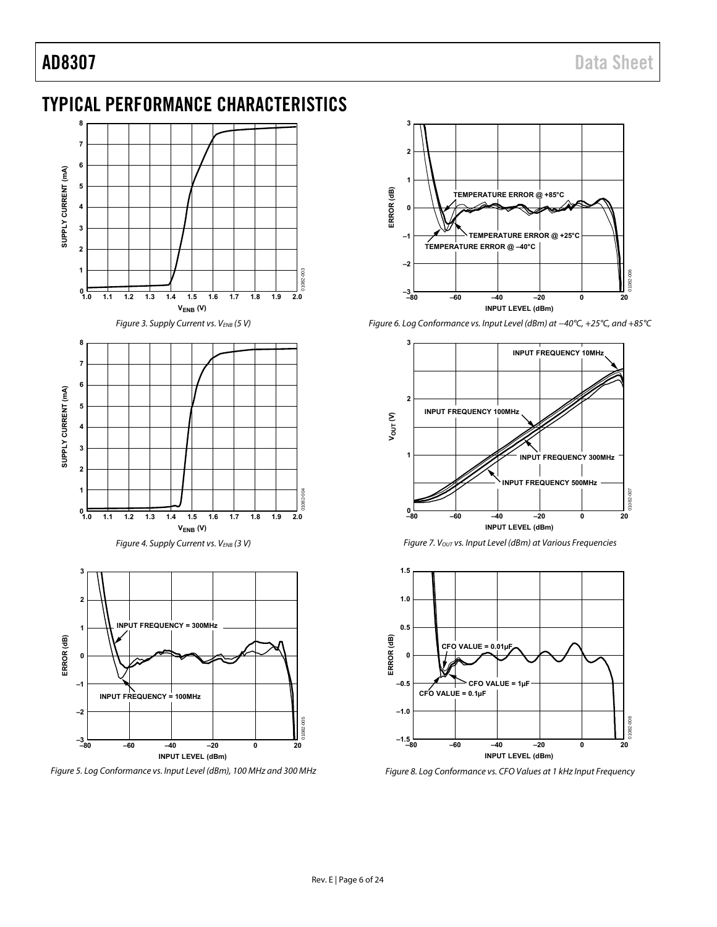## <span id="page-6-0"></span>TYPICAL PERFORMANCE CHARACTERISTICS



Figure 5. Log Conformance vs. Input Level (dBm), 100 MHz and 300 MHz



Figure 6. Log Conformance vs. Input Level (dBm) at −40°C, +25°C, and +85°C







Figure 8. Log Conformance vs. CFO Values at 1 kHz Input Frequency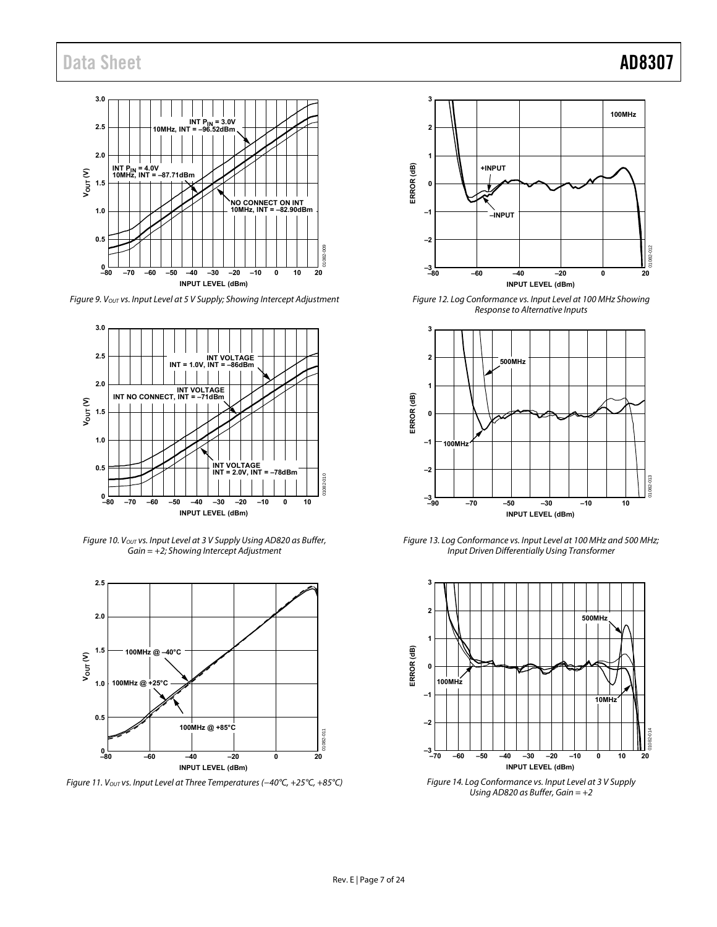

Figure 9. Vout vs. Input Level at 5 V Supply; Showing Intercept Adjustment



Figure 10. Vout vs. Input Level at 3 V Supply Using AD820 as Buffer,  $Gain = +2$ ; Showing Intercept Adjustment



Figure 11. Vout vs. Input Level at Three Temperatures (-40°C, +25°C, +85°C)



Figure 12. Log Conformance vs. Input Level at 100 MHz Showing Response to Alternative Inputs



Figure 13. Log Conformance vs. Input Level at 100 MHz and 500 MHz; Input Driven Differentially Using Transformer



Figure 14. Log Conformance vs. Input Level at 3 V Supply Using AD820 as Buffer, Gain  $= +2$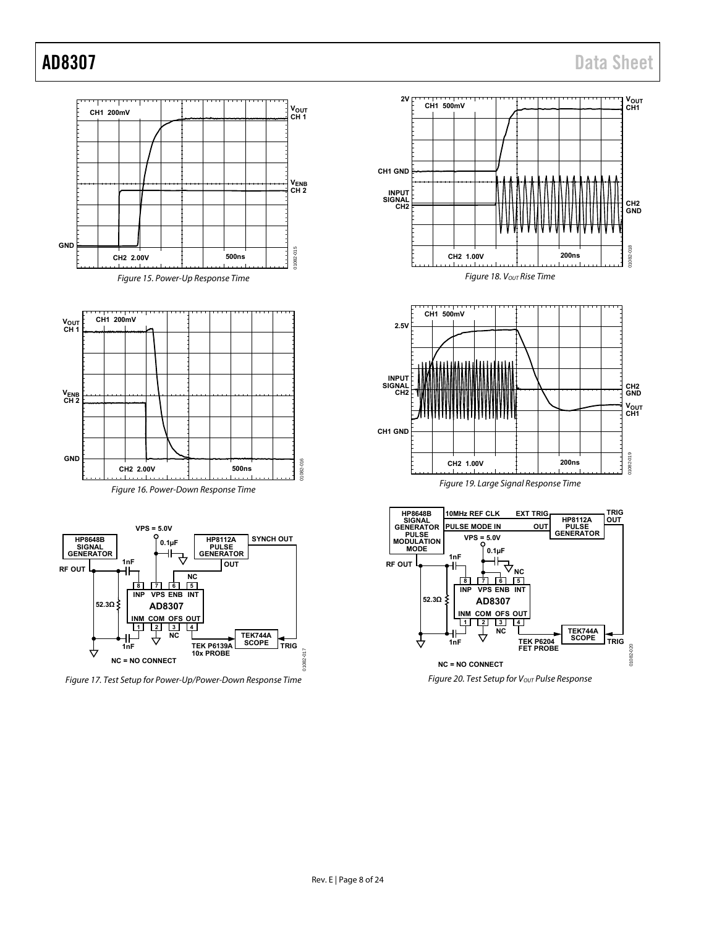

Figure 17. Test Setup for Power-Up/Power-Down Response Time





Figure 19. Large Signal Response Time



Figure 20. Test Setup for V<sub>OUT</sub> Pulse Response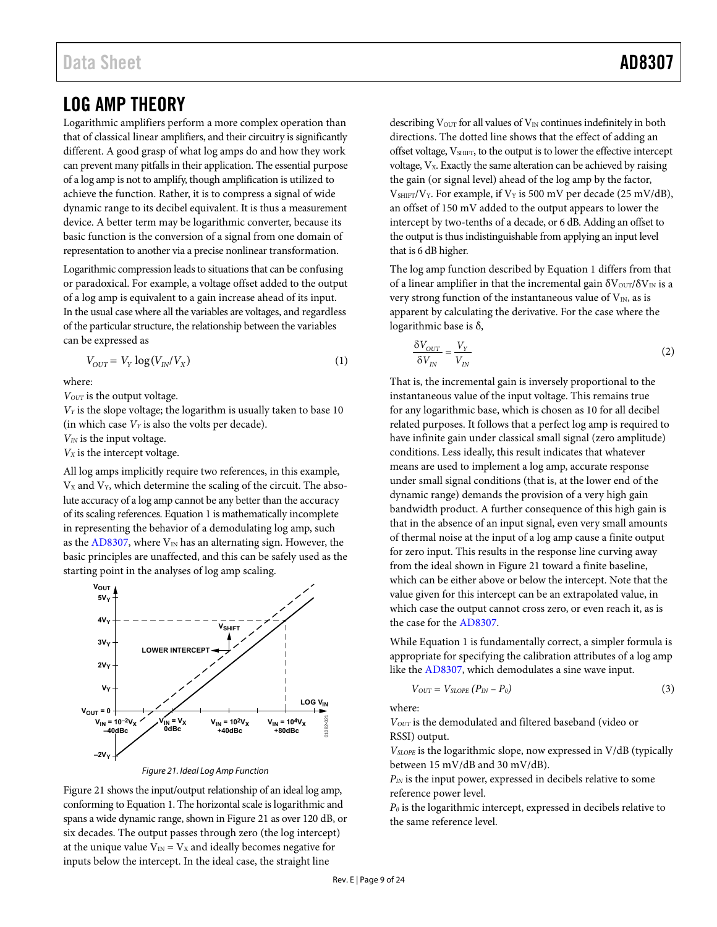## <span id="page-9-0"></span>LOG AMP THEORY

Logarithmic amplifiers perform a more complex operation than that of classical linear amplifiers, and their circuitry is significantly different. A good grasp of what log amps do and how they work can prevent many pitfalls in their application. The essential purpose of a log amp is not to amplify, though amplification is utilized to achieve the function. Rather, it is to compress a signal of wide dynamic range to its decibel equivalent. It is thus a measurement device. A better term may be logarithmic converter, because its basic function is the conversion of a signal from one domain of representation to another via a precise nonlinear transformation.

Logarithmic compression leads to situations that can be confusing or paradoxical. For example, a voltage offset added to the output of a log amp is equivalent to a gain increase ahead of its input. In the usual case where all the variables are voltages, and regardless of the particular structure, the relationship between the variables can be expressed as

$$
V_{OUT} = V_Y \log(V_{IN}/V_X)
$$
\n(1)

where:

*V<sub>OUT</sub>* is the output voltage.

*VY* is the slope voltage; the logarithm is usually taken to base 10 (in which case  $V_Y$  is also the volts per decade).

*VIN* is the input voltage.

*VX* is the intercept voltage.

All log amps implicitly require two references, in this example,  $V_X$  and  $V_Y$ , which determine the scaling of the circuit. The absolute accuracy of a log amp cannot be any better than the accuracy of its scaling references. Equation 1 is mathematically incomplete in representing the behavior of a demodulating log amp, such as the [AD8307,](http://www.analog.com/AD8307?doc=AD8307.pdf) where  $V_{IN}$  has an alternating sign. However, the basic principles are unaffected, and this can be safely used as the starting point in the analyses of log amp scaling.



Figure 21. Ideal Log Amp Function

<span id="page-9-1"></span>[Figure 21 s](#page-9-1)hows the input/output relationship of an ideal log amp, conforming to Equation 1. The horizontal scale is logarithmic and spans a wide dynamic range, shown i[n Figure 21 a](#page-9-1)s over 120 dB, or six decades. The output passes through zero (the log intercept) at the unique value  $V_{IN} = V_X$  and ideally becomes negative for inputs below the intercept. In the ideal case, the straight line

describing  $V<sub>OUT</sub>$  for all values of  $V<sub>IN</sub>$  continues indefinitely in both directions. The dotted line shows that the effect of adding an offset voltage,  $V_{\text{SHIFT}}$ , to the output is to lower the effective intercept voltage,  $V_x$ . Exactly the same alteration can be achieved by raising the gain (or signal level) ahead of the log amp by the factor,  $V<sub>SHIFT</sub>/V<sub>Y</sub>$ . For example, if  $V<sub>Y</sub>$  is 500 mV per decade (25 mV/dB), an offset of 150 mV added to the output appears to lower the intercept by two-tenths of a decade, or 6 dB. Adding an offset to the output is thus indistinguishable from applying an input level that is 6 dB higher.

The log amp function described by Equation 1 differs from that of a linear amplifier in that the incremental gain  $\delta V_{\text{OUT}}/\delta V_{\text{IN}}$  is a very strong function of the instantaneous value of  $V_{IN}$ , as is apparent by calculating the derivative. For the case where the logarithmic base is δ,

$$
\frac{\delta V_{OUT}}{\delta V_{IN}} = \frac{V_Y}{V_{IN}}
$$
 (2)

That is, the incremental gain is inversely proportional to the instantaneous value of the input voltage. This remains true for any logarithmic base, which is chosen as 10 for all decibel related purposes. It follows that a perfect log amp is required to have infinite gain under classical small signal (zero amplitude) conditions. Less ideally, this result indicates that whatever means are used to implement a log amp, accurate response under small signal conditions (that is, at the lower end of the dynamic range) demands the provision of a very high gain bandwidth product. A further consequence of this high gain is that in the absence of an input signal, even very small amounts of thermal noise at the input of a log amp cause a finite output for zero input. This results in the response line curving away from the ideal shown i[n Figure 21](#page-9-1) toward a finite baseline, which can be either above or below the intercept. Note that the value given for this intercept can be an extrapolated value, in which case the output cannot cross zero, or even reach it, as is the case for th[e AD8307.](http://www.analog.com/AD8307?doc=AD8307.pdf)

While Equation 1 is fundamentally correct, a simpler formula is appropriate for specifying the calibration attributes of a log amp like the [AD8307,](http://www.analog.com/AD8307?doc=AD8307.pdf) which demodulates a sine wave input.

$$
V_{OUT} = V_{SLOPE} (P_{IN} - P_0) \tag{3}
$$

where:

*VOUT* is the demodulated and filtered baseband (video or RSSI) output.

*VSLOPE* is the logarithmic slope, now expressed in V/dB (typically between 15 mV/dB and 30 mV/dB).

*PIN* is the input power, expressed in decibels relative to some reference power level.

*P0* is the logarithmic intercept, expressed in decibels relative to the same reference level.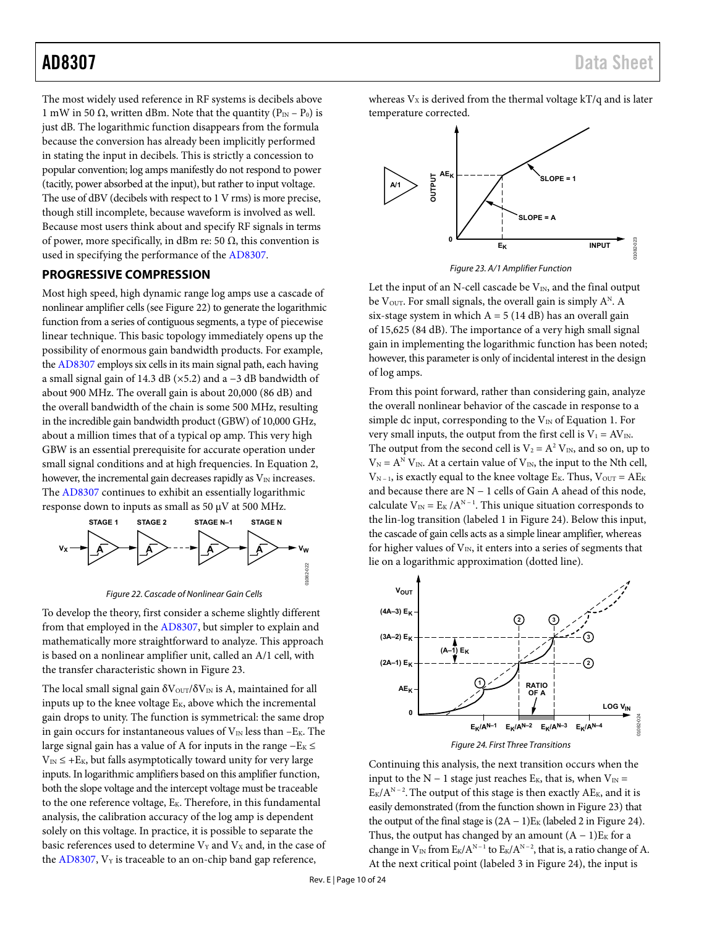The most widely used reference in RF systems is decibels above 1 mW in 50  $\Omega$ , written dBm. Note that the quantity (P<sub>IN</sub> – P<sub>0</sub>) is just dB. The logarithmic function disappears from the formula because the conversion has already been implicitly performed in stating the input in decibels. This is strictly a concession to popular convention; log amps manifestly do not respond to power (tacitly, power absorbed at the input), but rather to input voltage. The use of dBV (decibels with respect to 1 V rms) is more precise, though still incomplete, because waveform is involved as well. Because most users think about and specify RF signals in terms of power, more specifically, in dBm re: 50  $\Omega$ , this convention is used in specifying the performance of th[e AD8307.](http://www.analog.com/AD8307?doc=AD8307.pdf) 

### <span id="page-10-0"></span>**PROGRESSIVE COMPRESSION**

Most high speed, high dynamic range log amps use a cascade of nonlinear amplifier cells (se[e Figure 22\)](#page-10-1) to generate the logarithmic function from a series of contiguous segments, a type of piecewise linear technique. This basic topology immediately opens up the possibility of enormous gain bandwidth products. For example, th[e AD8307](http://www.analog.com/AD8307?doc=AD8307.pdf) employs six cells in its main signal path, each having a small signal gain of 14.3 dB (×5.2) and a −3 dB bandwidth of about 900 MHz. The overall gain is about 20,000 (86 dB) and the overall bandwidth of the chain is some 500 MHz, resulting in the incredible gain bandwidth product (GBW) of 10,000 GHz, about a million times that of a typical op amp. This very high GBW is an essential prerequisite for accurate operation under small signal conditions and at high frequencies. In Equation 2, however, the incremental gain decreases rapidly as  $V_{\text{IN}}$  increases. The [AD8307 c](http://www.analog.com/AD8307?doc=AD8307.pdf)ontinues to exhibit an essentially logarithmic response down to inputs as small as 50  $\mu$ V at 500 MHz.



Figure 22. Cascade of Nonlinear Gain Cells

<span id="page-10-1"></span>To develop the theory, first consider a scheme slightly different from that employed in th[e AD8307,](http://www.analog.com/AD8307?doc=AD8307.pdf) but simpler to explain and mathematically more straightforward to analyze. This approach is based on a nonlinear amplifier unit, called an A/1 cell, with the transfer characteristic shown i[n Figure 23.](#page-10-2) 

The local small signal gain  $\delta V_{\text{OUT}}/\delta V_{\text{IN}}$  is A, maintained for all inputs up to the knee voltage  $E_K$ , above which the incremental gain drops to unity. The function is symmetrical: the same drop in gain occurs for instantaneous values of  $V_{IN}$  less than  $-E_K$ . The large signal gain has a value of A for inputs in the range  $-E<sub>K</sub>$  ≤  $V_{\text{IN}} \leq +E_{\text{K}}$ , but falls asymptotically toward unity for very large inputs. In logarithmic amplifiers based on this amplifier function, both the slope voltage and the intercept voltage must be traceable to the one reference voltage,  $E_K$ . Therefore, in this fundamental analysis, the calibration accuracy of the log amp is dependent solely on this voltage. In practice, it is possible to separate the basic references used to determine  $V_Y$  and  $V_X$  and, in the case of the  $AD8307$ ,  $V_Y$  is traceable to an on-chip band gap reference,

whereas  $V_x$  is derived from the thermal voltage  $kT/q$  and is later temperature corrected.



Figure 23. A/1 Amplifier Function

<span id="page-10-2"></span>Let the input of an N-cell cascade be  $V_{IN}$ , and the final output be  $V<sub>OUT</sub>$ . For small signals, the overall gain is simply  $A<sup>N</sup>$ . A six-stage system in which  $A = 5 (14 dB)$  has an overall gain of 15,625 (84 dB). The importance of a very high small signal gain in implementing the logarithmic function has been noted; however, this parameter is only of incidental interest in the design of log amps.

From this point forward, rather than considering gain, analyze the overall nonlinear behavior of the cascade in response to a simple dc input, corresponding to the  $V_{IN}$  of Equation 1. For very small inputs, the output from the first cell is  $V_1 = AV_{IN}$ . The output from the second cell is  $V_2 = A^2 V_{IN}$ , and so on, up to  $V_N = A^N V_{IN}$ . At a certain value of  $V_{IN}$ , the input to the Nth cell,  $V_{N-1}$ , is exactly equal to the knee voltage E<sub>K</sub>. Thus,  $V_{OUT} = AE_{K}$ and because there are N − 1 cells of Gain A ahead of this node, calculate  $V_{IN} = E_K / A^{N-1}$ . This unique situation corresponds to the lin-log transition (labeled 1 i[n Figure 24\)](#page-10-3). Below this input, the cascade of gain cells acts as a simple linear amplifier, whereas for higher values of  $V_{IN}$ , it enters into a series of segments that lie on a logarithmic approximation (dotted line).



<span id="page-10-3"></span>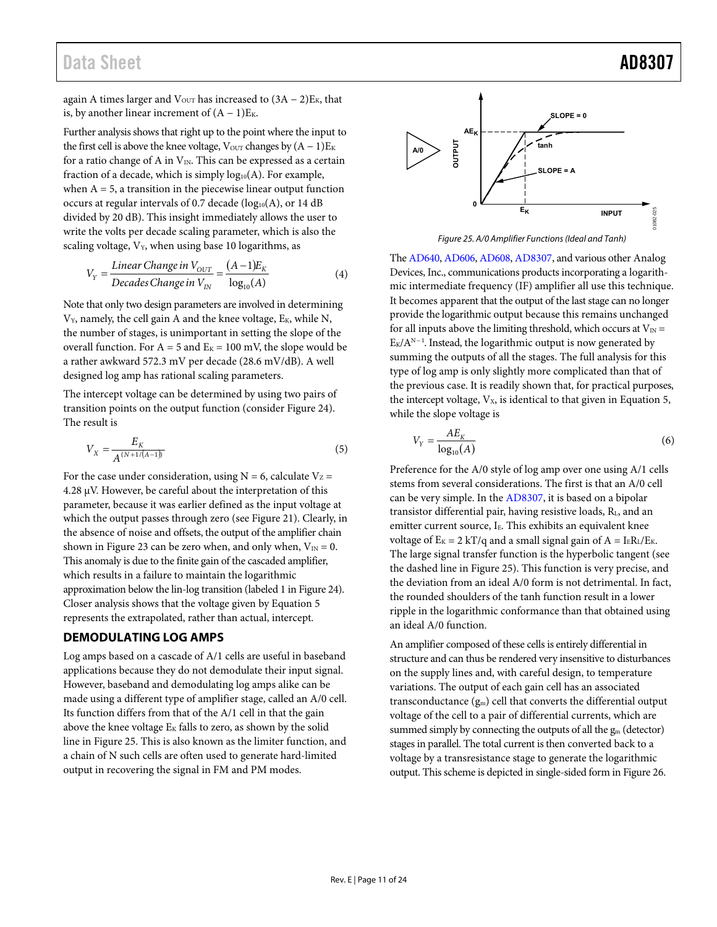## Data Sheet **AD8307**

again A times larger and  $V_{\text{OUT}}$  has increased to  $(3A - 2)E_K$ , that is, by another linear increment of  $(A - 1)E_K$ .

Further analysis shows that right up to the point where the input to the first cell is above the knee voltage,  $V_{\text{OUT}}$  changes by  $(A - 1)E_K$ for a ratio change of A in  $V_{IN}$ . This can be expressed as a certain fraction of a decade, which is simply  $log_{10}(A)$ . For example, when  $A = 5$ , a transition in the piecewise linear output function occurs at regular intervals of 0.7 decade ( $log_{10}(A)$ , or 14 dB divided by 20 dB). This insight immediately allows the user to write the volts per decade scaling parameter, which is also the scaling voltage,  $V_Y$ , when using base 10 logarithms, as

$$
V_Y = \frac{Linear Change in V_{OUT}}{Decades Change in V_{IN}} = \frac{(A-1)E_K}{log_{10}(A)}
$$
(4)

Note that only two design parameters are involved in determining  $V_Y$ , namely, the cell gain A and the knee voltage,  $E_K$ , while N, the number of stages, is unimportant in setting the slope of the overall function. For  $A = 5$  and  $E<sub>K</sub> = 100$  mV, the slope would be a rather awkward 572.3 mV per decade (28.6 mV/dB). A well designed log amp has rational scaling parameters.

The intercept voltage can be determined by using two pairs of transition points on the output function (consider [Figure 24\)](#page-10-3). The result is

$$
V_X = \frac{E_K}{A^{(N+1/(A-1))}}
$$
\n(5)

For the case under consideration, using  $N = 6$ , calculate  $V_Z =$ 4.28 μV. However, be careful about the interpretation of this parameter, because it was earlier defined as the input voltage at which the output passes through zero (see [Figure 21\)](#page-9-1). Clearly, in the absence of noise and offsets, the output of the amplifier chain shown in [Figure 23 c](#page-10-2)an be zero when, and only when,  $V_{IN} = 0$ . This anomaly is due to the finite gain of the cascaded amplifier, which results in a failure to maintain the logarithmic approximation below the lin-log transition (labeled 1 i[n Figure 24\)](#page-10-3). Closer analysis shows that the voltage given by Equation 5 represents the extrapolated, rather than actual, intercept.

## <span id="page-11-0"></span>**DEMODULATING LOG AMPS**

Log amps based on a cascade of A/1 cells are useful in baseband applications because they do not demodulate their input signal. However, baseband and demodulating log amps alike can be made using a different type of amplifier stage, called an A/0 cell. Its function differs from that of the A/1 cell in that the gain above the knee voltage  $E_K$  falls to zero, as shown by the solid line i[n Figure 25.](#page-11-1) This is also known as the limiter function, and a chain of N such cells are often used to generate hard-limited output in recovering the signal in FM and PM modes.



Figure 25. A/0 Amplifier Functions (Ideal and Tanh)

<span id="page-11-1"></span>Th[e AD640,](http://www.analog.com/ad640) [AD606,](http://www.analog.com/ad606) [AD608,](http://www.analog.com/ad608) [AD8307,](http://www.analog.com/AD8307?doc=AD8307.pdf) and various other Analog Devices, Inc., communications products incorporating a logarithmic intermediate frequency (IF) amplifier all use this technique. It becomes apparent that the output of the last stage can no longer provide the logarithmic output because this remains unchanged for all inputs above the limiting threshold, which occurs at  $V_{IN}$  =  $E_K/A^{N-1}$ . Instead, the logarithmic output is now generated by summing the outputs of all the stages. The full analysis for this type of log amp is only slightly more complicated than that of the previous case. It is readily shown that, for practical purposes, the intercept voltage,  $V_x$ , is identical to that given in Equation 5, while the slope voltage is

$$
V_Y = \frac{AE_K}{\log_{10}(A)}\tag{6}
$$

Preference for the A/0 style of log amp over one using A/1 cells stems from several considerations. The first is that an A/0 cell can be very simple. In the [AD8307,](http://www.analog.com/AD8307?doc=AD8307.pdf) it is based on a bipolar transistor differential pair, having resistive loads, RL, and an emitter current source, I<sub>E</sub>. This exhibits an equivalent knee voltage of  $E_K = 2$  kT/q and a small signal gain of  $A = I_E R_L / E_K$ . The large signal transfer function is the hyperbolic tangent (see the dashed line i[n Figure 25\)](#page-11-1). This function is very precise, and the deviation from an ideal A/0 form is not detrimental. In fact, the rounded shoulders of the tanh function result in a lower ripple in the logarithmic conformance than that obtained using an ideal A/0 function.

An amplifier composed of these cells is entirely differential in structure and can thus be rendered very insensitive to disturbances on the supply lines and, with careful design, to temperature variations. The output of each gain cell has an associated transconductance  $(g_m)$  cell that converts the differential output voltage of the cell to a pair of differential currents, which are summed simply by connecting the outputs of all the  $g_m$  (detector) stages in parallel. The total current is then converted back to a voltage by a transresistance stage to generate the logarithmic output. This scheme is depicted in single-sided form i[n Figure 26.](#page-12-2)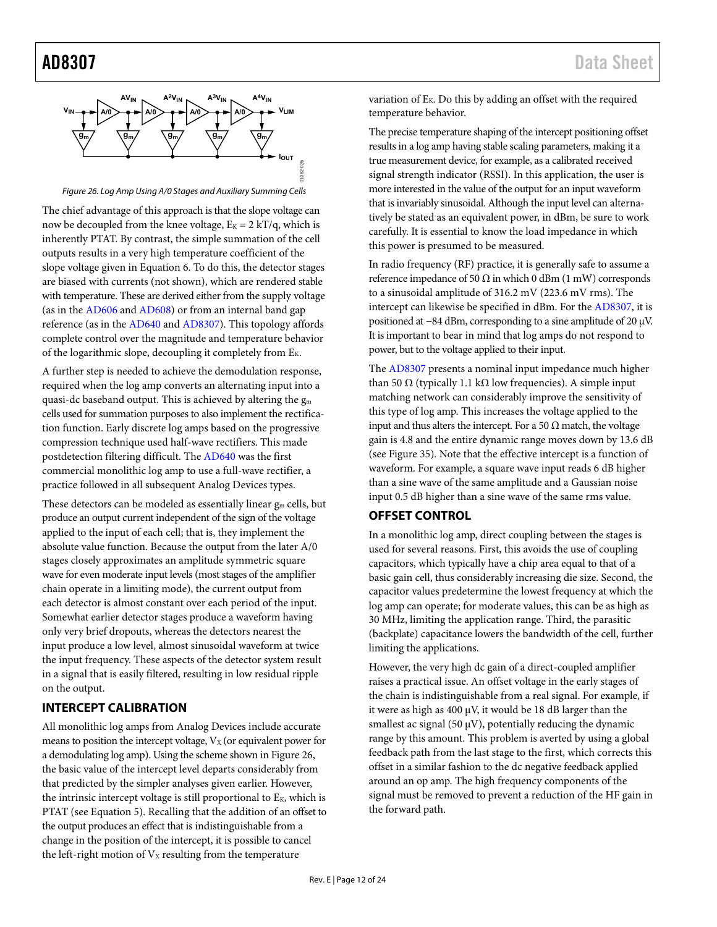

Figure 26. Log Amp Using A/0 Stages and Auxiliary Summing Cells

<span id="page-12-2"></span>The chief advantage of this approach is that the slope voltage can now be decoupled from the knee voltage,  $E_K = 2 kT/q$ , which is inherently PTAT. By contrast, the simple summation of the cell outputs results in a very high temperature coefficient of the slope voltage given in Equation 6. To do this, the detector stages are biased with currents (not shown), which are rendered stable with temperature. These are derived either from the supply voltage (as in the [AD606 a](http://www.analog.com/ad606?doc=ad8307.pdf)nd [AD608\)](http://www.analog.com/ad608?doc=ad8307.pdf) or from an internal band gap reference (as in the [AD640 a](http://www.analog.com/ad640?doc=ad8307.pdf)nd [AD8307\)](http://www.analog.com/AD8307?doc=AD8307.pdf). This topology affords complete control over the magnitude and temperature behavior of the logarithmic slope, decoupling it completely from  $E_K$ .

A further step is needed to achieve the demodulation response, required when the log amp converts an alternating input into a quasi-dc baseband output. This is achieved by altering the  $g_m$ cells used for summation purposes to also implement the rectification function. Early discrete log amps based on the progressive compression technique used half-wave rectifiers. This made postdetection filtering difficult. The [AD640](http://www.analog.com/ad640?doc=ad8307.pdf) was the first commercial monolithic log amp to use a full-wave rectifier, a practice followed in all subsequent Analog Devices types.

These detectors can be modeled as essentially linear  $g_m$  cells, but produce an output current independent of the sign of the voltage applied to the input of each cell; that is, they implement the absolute value function. Because the output from the later A/0 stages closely approximates an amplitude symmetric square wave for even moderate input levels (most stages of the amplifier chain operate in a limiting mode), the current output from each detector is almost constant over each period of the input. Somewhat earlier detector stages produce a waveform having only very brief dropouts, whereas the detectors nearest the input produce a low level, almost sinusoidal waveform at twice the input frequency. These aspects of the detector system result in a signal that is easily filtered, resulting in low residual ripple on the output.

## <span id="page-12-0"></span>**INTERCEPT CALIBRATION**

All monolithic log amps from Analog Devices include accurate means to position the intercept voltage,  $V_X$  (or equivalent power for a demodulating log amp). Using the scheme shown i[n Figure 26,](#page-12-2) the basic value of the intercept level departs considerably from that predicted by the simpler analyses given earlier. However, the intrinsic intercept voltage is still proportional to  $E_K$ , which is PTAT (see Equation 5). Recalling that the addition of an offset to the output produces an effect that is indistinguishable from a change in the position of the intercept, it is possible to cancel the left-right motion of  $V<sub>X</sub>$  resulting from the temperature

variation of  $E_K$ . Do this by adding an offset with the required temperature behavior.

The precise temperature shaping of the intercept positioning offset results in a log amp having stable scaling parameters, making it a true measurement device, for example, as a calibrated received signal strength indicator (RSSI). In this application, the user is more interested in the value of the output for an input waveform that is invariably sinusoidal. Although the input level can alternatively be stated as an equivalent power, in dBm, be sure to work carefully. It is essential to know the load impedance in which this power is presumed to be measured.

In radio frequency (RF) practice, it is generally safe to assume a reference impedance of 50  $\Omega$  in which 0 dBm (1 mW) corresponds to a sinusoidal amplitude of 316.2 mV (223.6 mV rms). The intercept can likewise be specified in dBm. For the [AD8307,](http://www.analog.com/AD8307?doc=AD8307.pdf) it is positioned at −84 dBm, corresponding to a sine amplitude of 20 μV. It is important to bear in mind that log amps do not respond to power, but to the voltage applied to their input.

The [AD8307 p](http://www.analog.com/AD8307?doc=AD8307.pdf)resents a nominal input impedance much higher than 50 Ω (typically 1.1 kΩ low frequencies). A simple input matching network can considerably improve the sensitivity of this type of log amp. This increases the voltage applied to the input and thus alters the intercept. For a 50  $\Omega$  match, the voltage gain is 4.8 and the entire dynamic range moves down by 13.6 dB (see [Figure 35\)](#page-18-2). Note that the effective intercept is a function of waveform. For example, a square wave input reads 6 dB higher than a sine wave of the same amplitude and a Gaussian noise input 0.5 dB higher than a sine wave of the same rms value.

### <span id="page-12-1"></span>**OFFSET CONTROL**

In a monolithic log amp, direct coupling between the stages is used for several reasons. First, this avoids the use of coupling capacitors, which typically have a chip area equal to that of a basic gain cell, thus considerably increasing die size. Second, the capacitor values predetermine the lowest frequency at which the log amp can operate; for moderate values, this can be as high as 30 MHz, limiting the application range. Third, the parasitic (backplate) capacitance lowers the bandwidth of the cell, further limiting the applications.

However, the very high dc gain of a direct-coupled amplifier raises a practical issue. An offset voltage in the early stages of the chain is indistinguishable from a real signal. For example, if it were as high as 400 μV, it would be 18 dB larger than the smallest ac signal (50  $\mu$ V), potentially reducing the dynamic range by this amount. This problem is averted by using a global feedback path from the last stage to the first, which corrects this offset in a similar fashion to the dc negative feedback applied around an op amp. The high frequency components of the signal must be removed to prevent a reduction of the HF gain in the forward path.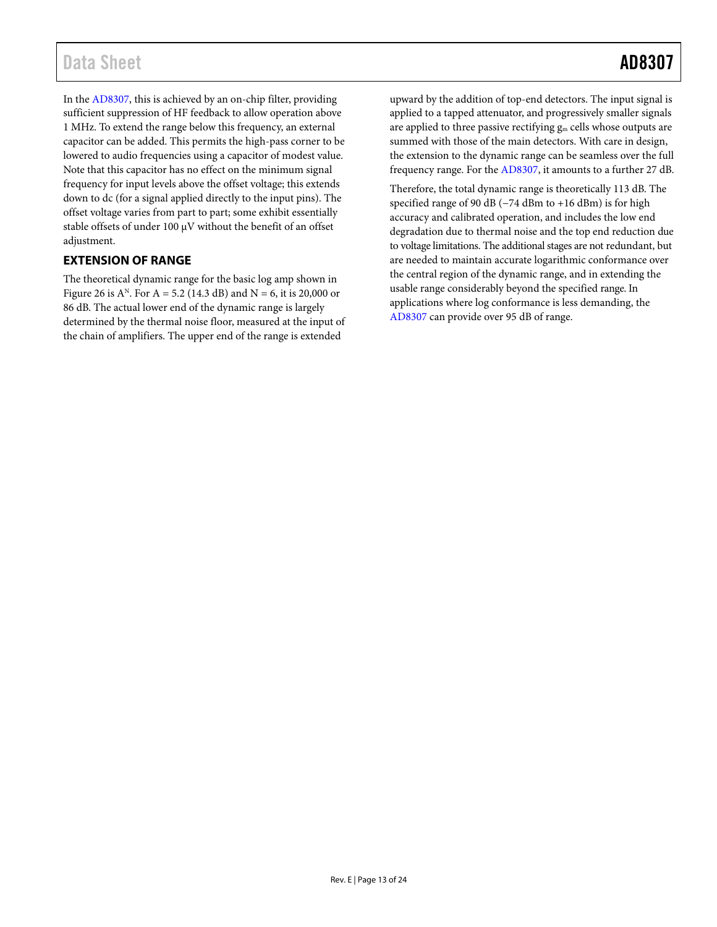## Data Sheet **AD8307**

In th[e AD8307,](http://www.analog.com/AD8307?doc=AD8307.pdf) this is achieved by an on-chip filter, providing sufficient suppression of HF feedback to allow operation above 1 MHz. To extend the range below this frequency, an external capacitor can be added. This permits the high-pass corner to be lowered to audio frequencies using a capacitor of modest value. Note that this capacitor has no effect on the minimum signal frequency for input levels above the offset voltage; this extends down to dc (for a signal applied directly to the input pins). The offset voltage varies from part to part; some exhibit essentially stable offsets of under 100 μV without the benefit of an offset adjustment.

## <span id="page-13-0"></span>**EXTENSION OF RANGE**

The theoretical dynamic range for the basic log amp shown in [Figure 26 i](#page-12-2)s  $A^N$ . For  $A = 5.2$  (14.3 dB) and  $N = 6$ , it is 20,000 or 86 dB. The actual lower end of the dynamic range is largely determined by the thermal noise floor, measured at the input of the chain of amplifiers. The upper end of the range is extended

upward by the addition of top-end detectors. The input signal is applied to a tapped attenuator, and progressively smaller signals are applied to three passive rectifying gm cells whose outputs are summed with those of the main detectors. With care in design, the extension to the dynamic range can be seamless over the full frequency range. For the [AD8307,](http://www.analog.com/AD8307?doc=AD8307.pdf) it amounts to a further 27 dB.

Therefore, the total dynamic range is theoretically 113 dB. The specified range of 90 dB (−74 dBm to +16 dBm) is for high accuracy and calibrated operation, and includes the low end degradation due to thermal noise and the top end reduction due to voltage limitations. The additional stages are not redundant, but are needed to maintain accurate logarithmic conformance over the central region of the dynamic range, and in extending the usable range considerably beyond the specified range. In applications where log conformance is less demanding, the [AD8307 c](http://www.analog.com/AD8307?doc=AD8307.pdf)an provide over 95 dB of range.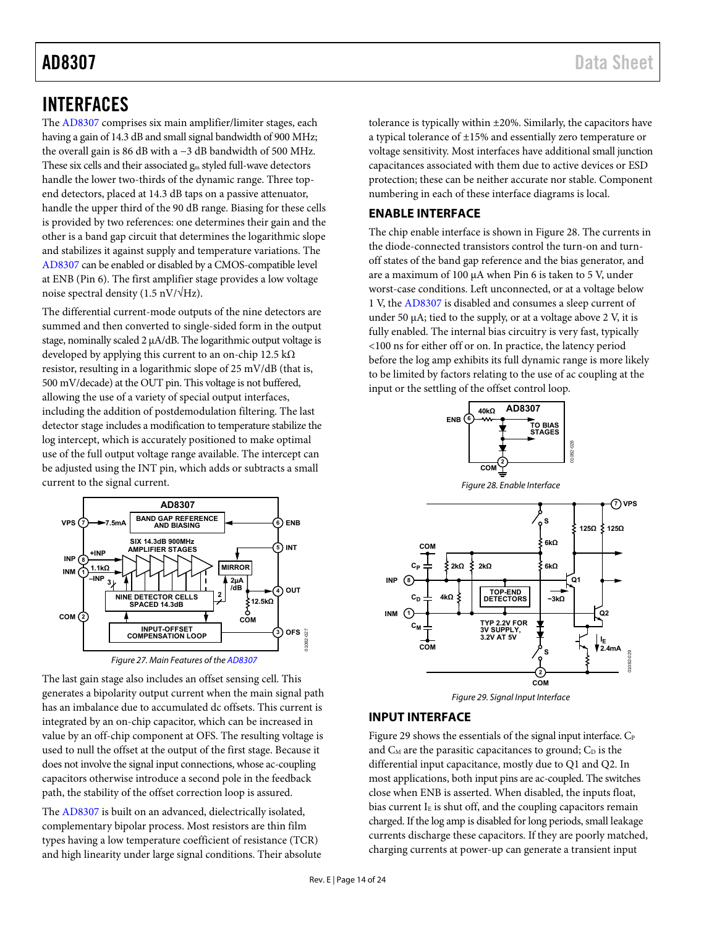## <span id="page-14-0"></span>INTERFACES

The [AD8307 c](http://www.analog.com/AD8307?doc=AD8307.pdf)omprises six main amplifier/limiter stages, each having a gain of 14.3 dB and small signal bandwidth of 900 MHz; the overall gain is 86 dB with a −3 dB bandwidth of 500 MHz. These six cells and their associated gm styled full-wave detectors handle the lower two-thirds of the dynamic range. Three topend detectors, placed at 14.3 dB taps on a passive attenuator, handle the upper third of the 90 dB range. Biasing for these cells is provided by two references: one determines their gain and the other is a band gap circuit that determines the logarithmic slope and stabilizes it against supply and temperature variations. The [AD8307 c](http://www.analog.com/AD8307?doc=AD8307.pdf)an be enabled or disabled by a CMOS-compatible level at ENB (Pin 6). The first amplifier stage provides a low voltage noise spectral density (1.5 nV/ $\sqrt{Hz}$ ).

The differential current-mode outputs of the nine detectors are summed and then converted to single-sided form in the output stage, nominally scaled 2 μA/dB. The logarithmic output voltage is developed by applying this current to an on-chip 12.5 kΩ resistor, resulting in a logarithmic slope of 25 mV/dB (that is, 500 mV/decade) at the OUT pin. This voltage is not buffered, allowing the use of a variety of special output interfaces, including the addition of postdemodulation filtering. The last detector stage includes a modification to temperature stabilize the log intercept, which is accurately positioned to make optimal use of the full output voltage range available. The intercept can be adjusted using the INT pin, which adds or subtracts a small current to the signal current.



Figure 27. Main Features of th[e AD8307](http://www.analog.com/AD8307?doc=AD8307.pdf)

The last gain stage also includes an offset sensing cell. This generates a bipolarity output current when the main signal path has an imbalance due to accumulated dc offsets. This current is integrated by an on-chip capacitor, which can be increased in value by an off-chip component at OFS. The resulting voltage is used to null the offset at the output of the first stage. Because it does not involve the signal input connections, whose ac-coupling capacitors otherwise introduce a second pole in the feedback path, the stability of the offset correction loop is assured.

The [AD8307 i](http://www.analog.com/AD8307?doc=AD8307.pdf)s built on an advanced, dielectrically isolated, complementary bipolar process. Most resistors are thin film types having a low temperature coefficient of resistance (TCR) and high linearity under large signal conditions. Their absolute tolerance is typically within ±20%. Similarly, the capacitors have a typical tolerance of ±15% and essentially zero temperature or voltage sensitivity. Most interfaces have additional small junction capacitances associated with them due to active devices or ESD protection; these can be neither accurate nor stable. Component numbering in each of these interface diagrams is local.

## <span id="page-14-1"></span>**ENABLE INTERFACE**

The chip enable interface is shown i[n Figure 28.](#page-14-3) The currents in the diode-connected transistors control the turn-on and turnoff states of the band gap reference and the bias generator, and are a maximum of 100 μA when Pin 6 is taken to 5 V, under worst-case conditions. Left unconnected, or at a voltage below 1 V, th[e AD8307](http://www.analog.com/AD8307?doc=AD8307.pdf) is disabled and consumes a sleep current of under 50  $\mu$ A; tied to the supply, or at a voltage above 2 V, it is fully enabled. The internal bias circuitry is very fast, typically <100 ns for either off or on. In practice, the latency period before the log amp exhibits its full dynamic range is more likely to be limited by factors relating to the use of ac coupling at the input or the settling of the offset control loop.

<span id="page-14-3"></span>

## <span id="page-14-4"></span><span id="page-14-2"></span>**INPUT INTERFACE**

[Figure 29 s](#page-14-4)hows the essentials of the signal input interface.  $C_{P}$ and  $C_M$  are the parasitic capacitances to ground;  $C_D$  is the differential input capacitance, mostly due to Q1 and Q2. In most applications, both input pins are ac-coupled. The switches close when ENB is asserted. When disabled, the inputs float, bias current  $I<sub>E</sub>$  is shut off, and the coupling capacitors remain charged. If the log amp is disabled for long periods, small leakage currents discharge these capacitors. If they are poorly matched, charging currents at power-up can generate a transient input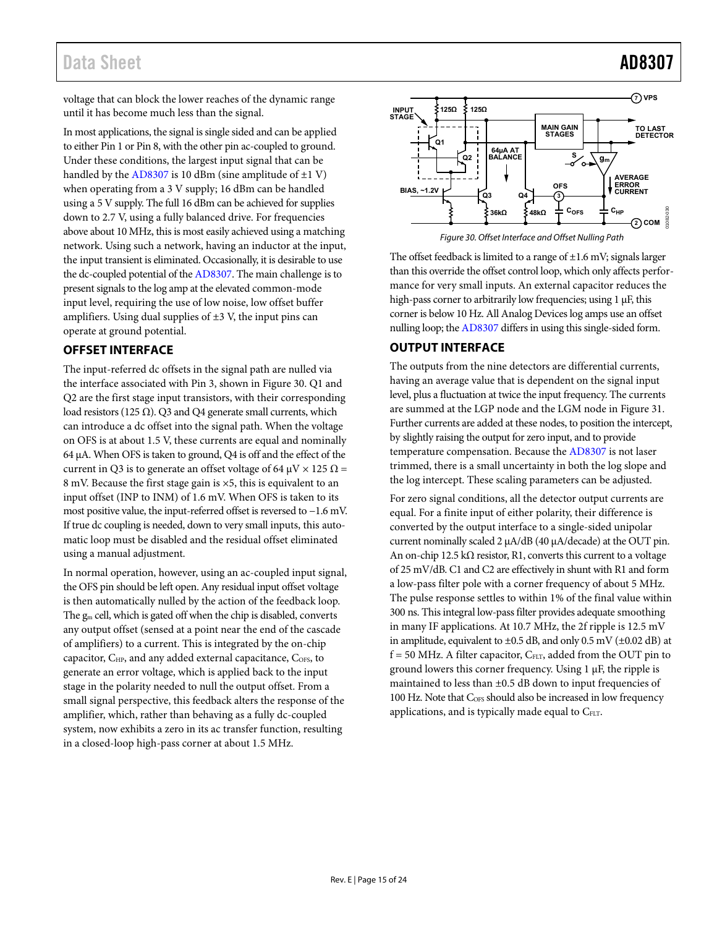## Data Sheet **AD8307**

voltage that can block the lower reaches of the dynamic range until it has become much less than the signal.

In most applications, the signal is single sided and can be applied to either Pin 1 or Pin 8, with the other pin ac-coupled to ground. Under these conditions, the largest input signal that can be handled by th[e AD8307](http://www.analog.com/AD8307?doc=AD8307.pdf) is 10 dBm (sine amplitude of  $\pm 1$  V) when operating from a 3 V supply; 16 dBm can be handled using a 5 V supply. The full 16 dBm can be achieved for supplies down to 2.7 V, using a fully balanced drive. For frequencies above about 10 MHz, this is most easily achieved using a matching network. Using such a network, having an inductor at the input, the input transient is eliminated. Occasionally, it is desirable to use the dc-coupled potential of the [AD8307.](http://www.analog.com/AD8307?doc=AD8307.pdf) The main challenge is to present signals to the log amp at the elevated common-mode input level, requiring the use of low noise, low offset buffer amplifiers. Using dual supplies of  $\pm 3$  V, the input pins can operate at ground potential.

## <span id="page-15-0"></span>**OFFSET INTERFACE**

The input-referred dc offsets in the signal path are nulled via the interface associated with Pin 3, shown in [Figure 30.](#page-15-2) Q1 and Q2 are the first stage input transistors, with their corresponding load resistors (125  $\Omega$ ). Q3 and Q4 generate small currents, which can introduce a dc offset into the signal path. When the voltage on OFS is at about 1.5 V, these currents are equal and nominally 64 μA. When OFS is taken to ground, Q4 is off and the effect of the current in Q3 is to generate an offset voltage of 64  $\mu$ V × 125  $\Omega$  = 8 mV. Because the first stage gain is ×5, this is equivalent to an input offset (INP to INM) of 1.6 mV. When OFS is taken to its most positive value, the input-referred offset is reversed to −1.6 mV. If true dc coupling is needed, down to very small inputs, this automatic loop must be disabled and the residual offset eliminated using a manual adjustment.

In normal operation, however, using an ac-coupled input signal, the OFS pin should be left open. Any residual input offset voltage is then automatically nulled by the action of the feedback loop. The gm cell, which is gated off when the chip is disabled, converts any output offset (sensed at a point near the end of the cascade of amplifiers) to a current. This is integrated by the on-chip capacitor, C<sub>HP</sub>, and any added external capacitance, C<sub>OFS</sub>, to generate an error voltage, which is applied back to the input stage in the polarity needed to null the output offset. From a small signal perspective, this feedback alters the response of the amplifier, which, rather than behaving as a fully dc-coupled system, now exhibits a zero in its ac transfer function, resulting in a closed-loop high-pass corner at about 1.5 MHz.



Figure 30. Offset Interface and Offset Nulling Path

<span id="page-15-2"></span>The offset feedback is limited to a range of  $\pm 1.6$  mV; signals larger than this override the offset control loop, which only affects performance for very small inputs. An external capacitor reduces the high-pass corner to arbitrarily low frequencies; using 1 μF, this corner is below 10 Hz. All Analog Devices log amps use an offset nulling loop; th[e AD8307 d](http://www.analog.com/AD8307?doc=AD8307.pdf)iffers in using this single-sided form.

## <span id="page-15-1"></span>**OUTPUT INTERFACE**

The outputs from the nine detectors are differential currents, having an average value that is dependent on the signal input level, plus a fluctuation at twice the input frequency. The currents are summed at the LGP node and the LGM node in [Figure 31.](#page-16-0)  Further currents are added at these nodes, to position the intercept, by slightly raising the output for zero input, and to provide temperature compensation. Because th[e AD8307](http://www.analog.com/AD8307?doc=AD8307.pdf) is not laser trimmed, there is a small uncertainty in both the log slope and the log intercept. These scaling parameters can be adjusted.

For zero signal conditions, all the detector output currents are equal. For a finite input of either polarity, their difference is converted by the output interface to a single-sided unipolar current nominally scaled 2 μA/dB (40 μA/decade) at the OUT pin. An on-chip 12.5 k $\Omega$  resistor, R1, converts this current to a voltage of 25 mV/dB. C1 and C2 are effectively in shunt with R1 and form a low-pass filter pole with a corner frequency of about 5 MHz. The pulse response settles to within 1% of the final value within 300 ns. This integral low-pass filter provides adequate smoothing in many IF applications. At 10.7 MHz, the 2f ripple is 12.5 mV in amplitude, equivalent to  $\pm 0.5$  dB, and only 0.5 mV ( $\pm 0.02$  dB) at  $f = 50$  MHz. A filter capacitor,  $C_{FLT}$ , added from the OUT pin to ground lowers this corner frequency. Using 1 μF, the ripple is maintained to less than ±0.5 dB down to input frequencies of 100 Hz. Note that C<sub>OFS</sub> should also be increased in low frequency applications, and is typically made equal to CFLT.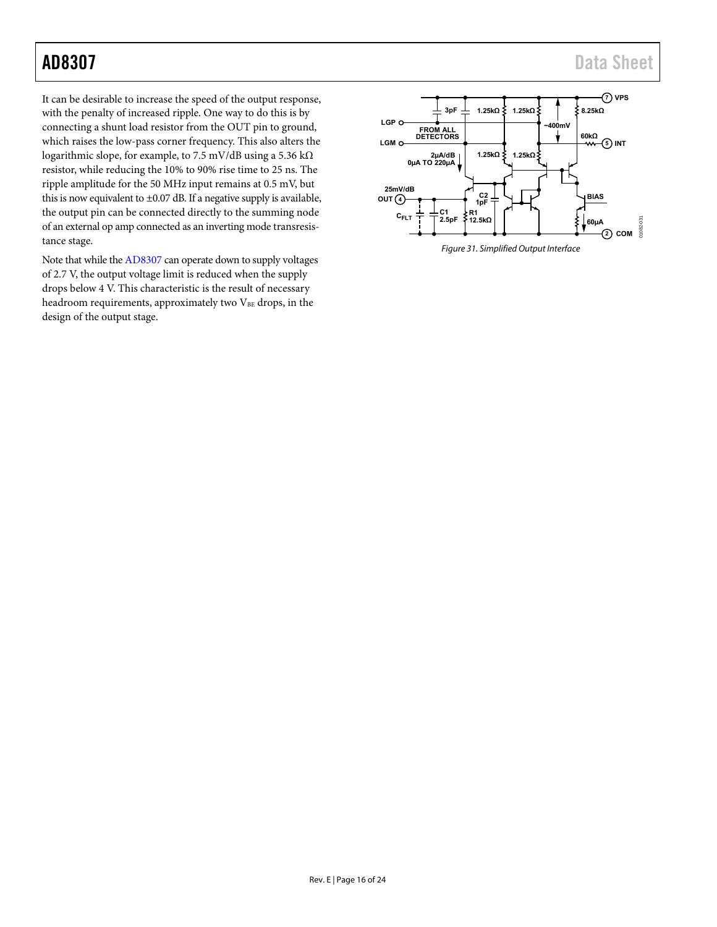It can be desirable to increase the speed of the output response, with the penalty of increased ripple. One way to do this is by connecting a shunt load resistor from the OUT pin to ground, which raises the low-pass corner frequency. This also alters the logarithmic slope, for example, to 7.5 mV/dB using a 5.36 kΩ resistor, while reducing the 10% to 90% rise time to 25 ns. The ripple amplitude for the 50 MHz input remains at 0.5 mV, but this is now equivalent to ±0.07 dB. If a negative supply is available, the output pin can be connected directly to the summing node of an external op amp connected as an inverting mode transresistance stage.

Note that while th[e AD8307 c](http://www.analog.com/AD8307?doc=AD8307.pdf)an operate down to supply voltages of 2.7 V, the output voltage limit is reduced when the supply drops below 4 V. This characteristic is the result of necessary headroom requirements, approximately two  $V_{BE}$  drops, in the design of the output stage.

<span id="page-16-0"></span>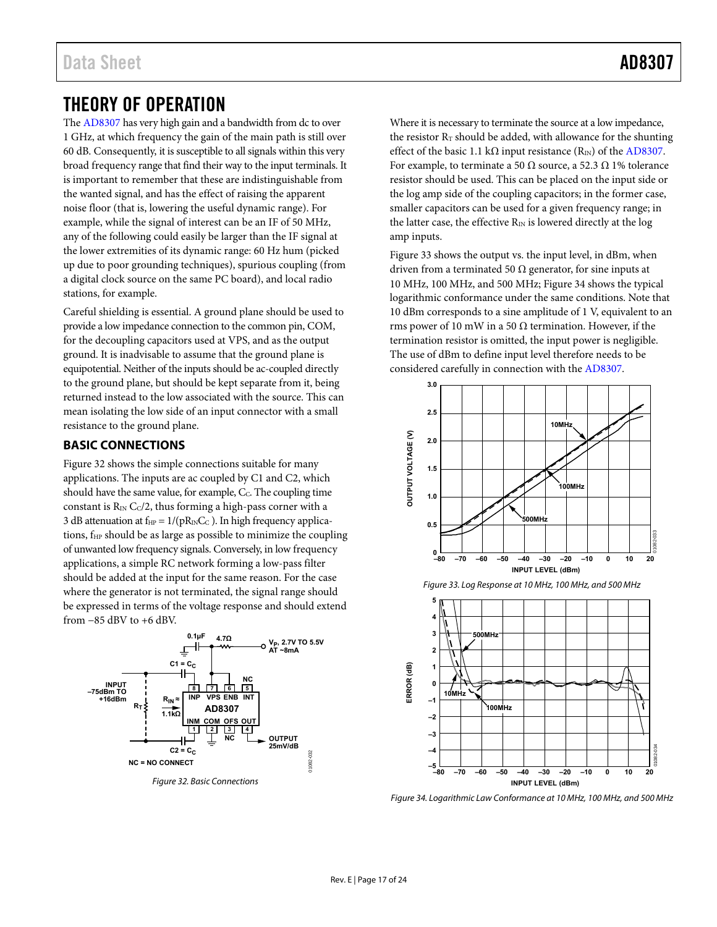## <span id="page-17-0"></span>THEORY OF OPERATION

The [AD8307 h](http://www.analog.com/AD8307?doc=AD8307.pdf)as very high gain and a bandwidth from dc to over 1 GHz, at which frequency the gain of the main path is still over 60 dB. Consequently, it is susceptible to all signals within this very broad frequency range that find their way to the input terminals. It is important to remember that these are indistinguishable from the wanted signal, and has the effect of raising the apparent noise floor (that is, lowering the useful dynamic range). For example, while the signal of interest can be an IF of 50 MHz, any of the following could easily be larger than the IF signal at the lower extremities of its dynamic range: 60 Hz hum (picked up due to poor grounding techniques), spurious coupling (from a digital clock source on the same PC board), and local radio stations, for example.

Careful shielding is essential. A ground plane should be used to provide a low impedance connection to the common pin, COM, for the decoupling capacitors used at VPS, and as the output ground. It is inadvisable to assume that the ground plane is equipotential. Neither of the inputs should be ac-coupled directly to the ground plane, but should be kept separate from it, being returned instead to the low associated with the source. This can mean isolating the low side of an input connector with a small resistance to the ground plane.

## <span id="page-17-1"></span>**BASIC CONNECTIONS**

[Figure 32 s](#page-17-2)hows the simple connections suitable for many applications. The inputs are ac coupled by C1 and C2, which should have the same value, for example, C<sub>C</sub>. The coupling time constant is  $R_{\text{IN}}$  C $c/2$ , thus forming a high-pass corner with a 3 dB attenuation at  $f_{HP} = 1/(pR_{IN}C_C)$ . In high frequency applications,  $f_{HP}$  should be as large as possible to minimize the coupling of unwanted low frequency signals. Conversely, in low frequency applications, a simple RC network forming a low-pass filter should be added at the input for the same reason. For the case where the generator is not terminated, the signal range should be expressed in terms of the voltage response and should extend from −85 dBV to +6 dBV.



<span id="page-17-2"></span>Figure 32. Basic Connections

Where it is necessary to terminate the source at a low impedance, the resistor  $R_T$  should be added, with allowance for the shunting effect of the basic 1.1 kΩ input resistance  $(R_{\text{IN}})$  of the AD8307. For example, to terminate a 50  $\Omega$  source, a 52.3  $\Omega$  1% tolerance resistor should be used. This can be placed on the input side or the log amp side of the coupling capacitors; in the former case, smaller capacitors can be used for a given frequency range; in the latter case, the effective  $R_{IN}$  is lowered directly at the log amp inputs.

[Figure 33 s](#page-17-3)hows the output vs. the input level, in dBm, when driven from a terminated 50  $\Omega$  generator, for sine inputs at 10 MHz, 100 MHz, and 500 MHz[; Figure 34](#page-17-4) shows the typical logarithmic conformance under the same conditions. Note that 10 dBm corresponds to a sine amplitude of 1 V, equivalent to an rms power of 10 mW in a 50  $\Omega$  termination. However, if the termination resistor is omitted, the input power is negligible. The use of dBm to define input level therefore needs to be considered carefully in connection with th[e AD8307.](http://www.analog.com/AD8307?doc=AD8307.pdf) 



<span id="page-17-3"></span>

<span id="page-17-4"></span>Figure 34. Logarithmic Law Conformance at 10 MHz, 100 MHz, and 500 MHz

**–80 –70 –60 –50 –40 –30 –20 –10 0 10 20**

**INPUT LEVEL (dBm)**

01082-034

**GR2** 

**–4 –5**

**–3**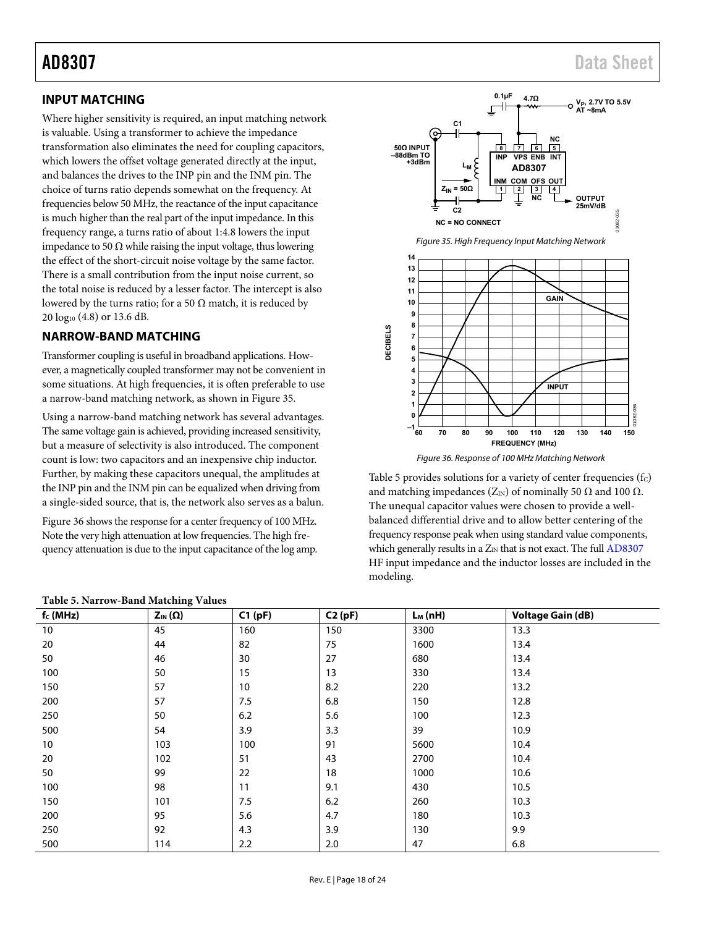## <span id="page-18-0"></span>**INPUT MATCHING**

Where higher sensitivity is required, an input matching network is valuable. Using a transformer to achieve the impedance transformation also eliminates the need for coupling capacitors, which lowers the offset voltage generated directly at the input, and balances the drives to the INP pin and the INM pin. The choice of turns ratio depends somewhat on the frequency. At frequencies below 50 MHz, the reactance of the input capacitance is much higher than the real part of the input impedance. In this frequency range, a turns ratio of about 1:4.8 lowers the input impedance to 50 Ω while raising the input voltage, thus lowering the effect of the short-circuit noise voltage by the same factor. There is a small contribution from the input noise current, so the total noise is reduced by a lesser factor. The intercept is also lowered by the turns ratio; for a 50  $\Omega$  match, it is reduced by 20 log10 (4.8) or 13.6 dB.

## <span id="page-18-1"></span>**NARROW-BAND MATCHING**

Transformer coupling is useful in broadband applications. However, a magnetically coupled transformer may not be convenient in some situations. At high frequencies, it is often preferable to use a narrow-band matching network, as shown in [Figure 35.](#page-18-2) 

Using a narrow-band matching network has several advantages. The same voltage gain is achieved, providing increased sensitivity, but a measure of selectivity is also introduced. The component count is low: two capacitors and an inexpensive chip inductor. Further, by making these capacitors unequal, the amplitudes at the INP pin and the INM pin can be equalized when driving from a single-sided source, that is, the network also serves as a balun.

[Figure 36 s](#page-18-3)hows the response for a center frequency of 100 MHz. Note the very high attenuation at low frequencies. The high frequency attenuation is due to the input capacitance of the log amp.

<span id="page-18-2"></span>

Figure 36. Response of 100 MHz Matching Network

<span id="page-18-3"></span>[Table 5](#page-18-4) provides solutions for a variety of center frequencies  $(f_C)$ and matching impedances ( $Z_{\text{IN}}$ ) of nominally 50  $\Omega$  and 100  $\Omega$ . The unequal capacitor values were chosen to provide a wellbalanced differential drive and to allow better centering of the frequency response peak when using standard value components, which generally results in a  $Z_{IN}$  that is not exact. The full  $AD8307$ HF input impedance and the inductor losses are included in the modeling.

| $1.0017 \times 1.0017 \times 1.0017 \times 1.0007 \times 1.0007$ |        |        |           |                          |  |  |
|------------------------------------------------------------------|--------|--------|-----------|--------------------------|--|--|
| $Z_{IN}(\Omega)$                                                 | C1(pF) | C2(pF) | $L_M(nH)$ | <b>Voltage Gain (dB)</b> |  |  |
| 45                                                               | 160    | 150    | 3300      | 13.3                     |  |  |
| 44                                                               | 82     | 75     | 1600      | 13.4                     |  |  |
| 46                                                               | 30     | 27     | 680       | 13.4                     |  |  |
| 50                                                               | 15     | 13     | 330       | 13.4                     |  |  |
| 57                                                               | 10     | 8.2    | 220       | 13.2                     |  |  |
| 57                                                               | 7.5    | 6.8    | 150       | 12.8                     |  |  |
| 50                                                               | 6.2    | 5.6    | 100       | 12.3                     |  |  |
| 54                                                               | 3.9    | 3.3    | 39        | 10.9                     |  |  |
| 103                                                              | 100    | 91     | 5600      | 10.4                     |  |  |
| 102                                                              | 51     | 43     | 2700      | 10.4                     |  |  |
| 99                                                               | 22     | 18     | 1000      | 10.6                     |  |  |
| 98                                                               | 11     | 9.1    | 430       | 10.5                     |  |  |
| 101                                                              | 7.5    | 6.2    | 260       | 10.3                     |  |  |
| 95                                                               | 5.6    | 4.7    | 180       | 10.3                     |  |  |
| 92                                                               | 4.3    | 3.9    | 130       | 9.9                      |  |  |
| 114                                                              | 2.2    | 2.0    | 47        | 6.8                      |  |  |
|                                                                  |        |        |           |                          |  |  |

### <span id="page-18-4"></span>**Table 5. Narrow-Band Matching Values**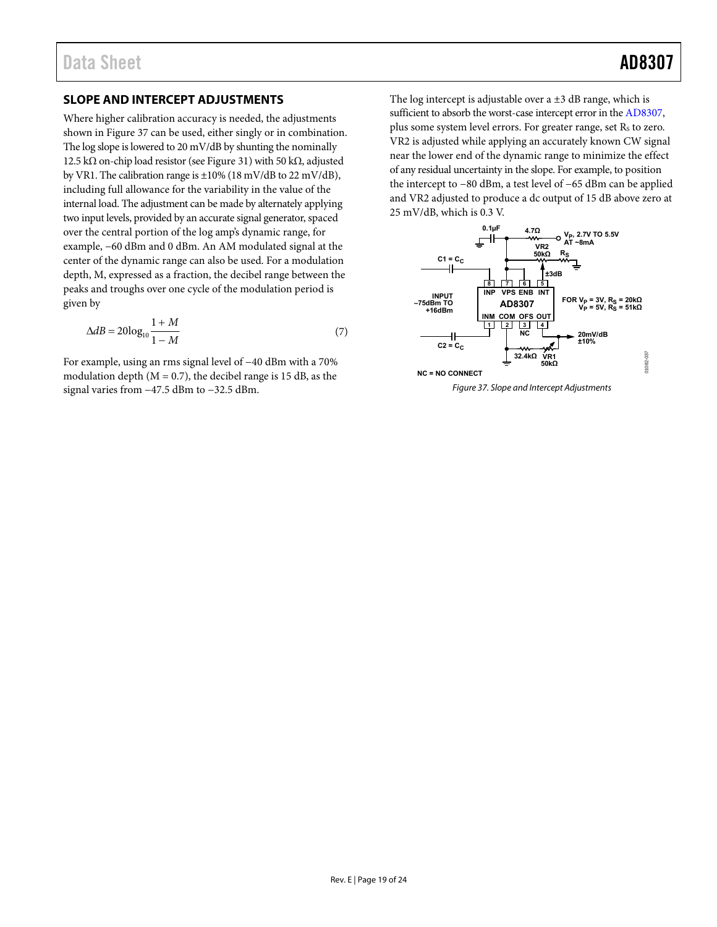## <span id="page-19-0"></span>**SLOPE AND INTERCEPT ADJUSTMENTS**

Where higher calibration accuracy is needed, the adjustments shown in [Figure 37 c](#page-19-1)an be used, either singly or in combination. The log slope is lowered to 20 mV/dB by shunting the nominally 12.5 kΩ on-chip load resistor (se[e Figure 31\)](#page-16-0) with 50 kΩ, adjusted by VR1. The calibration range is  $\pm 10\%$  (18 mV/dB to 22 mV/dB), including full allowance for the variability in the value of the internal load. The adjustment can be made by alternately applying two input levels, provided by an accurate signal generator, spaced over the central portion of the log amp's dynamic range, for example, −60 dBm and 0 dBm. An AM modulated signal at the center of the dynamic range can also be used. For a modulation depth, M, expressed as a fraction, the decibel range between the peaks and troughs over one cycle of the modulation period is given by

$$
\Delta dB = 20\log_{10}\frac{1+M}{1-M} \tag{7}
$$

For example, using an rms signal level of −40 dBm with a 70% modulation depth  $(M = 0.7)$ , the decibel range is 15 dB, as the signal varies from −47.5 dBm to −32.5 dBm.

The log intercept is adjustable over a  $\pm 3$  dB range, which is sufficient to absorb the worst-case intercept error in th[e AD8307,](http://www.analog.com/AD8307?doc=AD8307.pdf) plus some system level errors. For greater range, set  $R_s$  to zero. VR2 is adjusted while applying an accurately known CW signal near the lower end of the dynamic range to minimize the effect of any residual uncertainty in the slope. For example, to position the intercept to −80 dBm, a test level of −65 dBm can be applied and VR2 adjusted to produce a dc output of 15 dB above zero at 25 mV/dB, which is 0.3 V.

<span id="page-19-1"></span>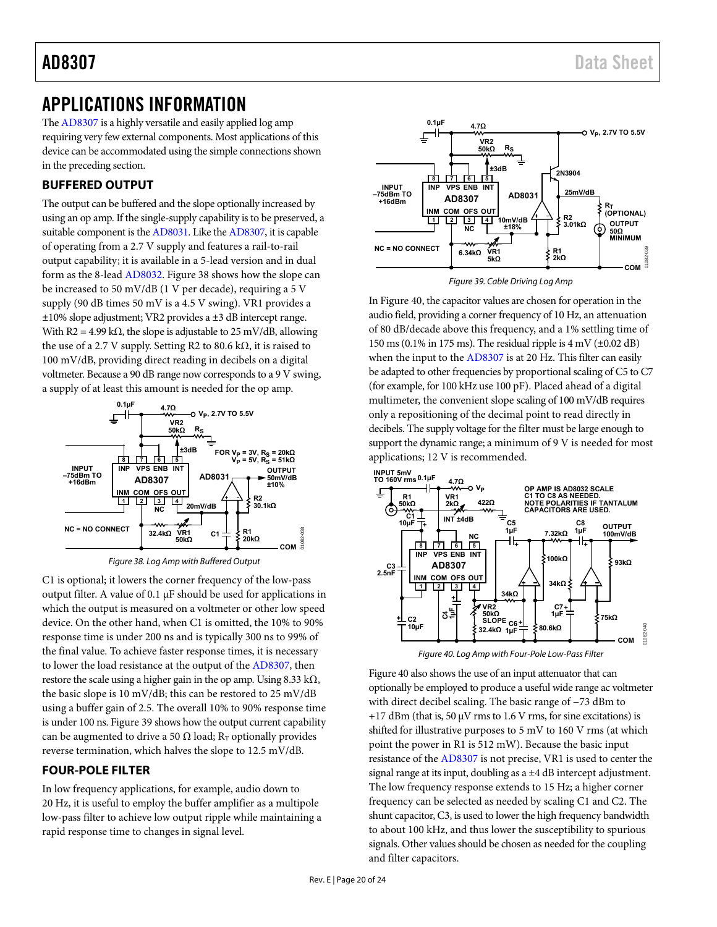## <span id="page-20-0"></span>APPLICATIONS INFORMATION

Th[e AD8307 i](http://www.analog.com/AD8307?doc=AD8307.pdf)s a highly versatile and easily applied log amp requiring very few external components. Most applications of this device can be accommodated using the simple connections shown in the preceding section.

## <span id="page-20-1"></span>**BUFFERED OUTPUT**

The output can be buffered and the slope optionally increased by using an op amp. If the single-supply capability is to be preserved, a suitable component is th[e AD8031.](http://www.analog.com/ad8031) Like th[e AD8307,](http://www.analog.com/AD8307?doc=AD8307.pdf) it is capable of operating from a 2.7 V supply and features a rail-to-rail output capability; it is available in a 5-lead version and in dual form as the 8-lea[d AD8032.](http://www.analog.com/ad8032) [Figure 38 s](#page-20-3)hows how the slope can be increased to 50 mV/dB (1 V per decade), requiring a 5 V supply (90 dB times 50 mV is a 4.5 V swing). VR1 provides a  $\pm 10\%$  slope adjustment; VR2 provides a  $\pm 3$  dB intercept range. With R2 = 4.99 k $\Omega$ , the slope is adjustable to 25 mV/dB, allowing the use of a 2.7 V supply. Setting R2 to 80.6 kΩ, it is raised to 100 mV/dB, providing direct reading in decibels on a digital voltmeter. Because a 90 dB range now corresponds to a 9 V swing, a supply of at least this amount is needed for the op amp.



Figure 38. Log Amp with Buffered Output

<span id="page-20-3"></span>C1 is optional; it lowers the corner frequency of the low-pass output filter. A value of 0.1 μF should be used for applications in which the output is measured on a voltmeter or other low speed device. On the other hand, when C1 is omitted, the 10% to 90% response time is under 200 ns and is typically 300 ns to 99% of the final value. To achieve faster response times, it is necessary to lower the load resistance at the output of th[e AD8307,](http://www.analog.com/AD8307?doc=AD8307.pdf) then restore the scale using a higher gain in the op amp. Using  $8.33 \text{ k}\Omega$ , the basic slope is 10 mV/dB; this can be restored to 25 mV/dB using a buffer gain of 2.5. The overall 10% to 90% response time is under 100 ns[. Figure 39](#page-20-4) shows how the output current capability can be augmented to drive a 50  $\Omega$  load; R<sub>T</sub> optionally provides reverse termination, which halves the slope to 12.5 mV/dB.

## <span id="page-20-2"></span>**FOUR-POLE FILTER**

In low frequency applications, for example, audio down to 20 Hz, it is useful to employ the buffer amplifier as a multipole low-pass filter to achieve low output ripple while maintaining a rapid response time to changes in signal level.



Figure 39. Cable Driving Log Amp

<span id="page-20-4"></span>I[n Figure 40,](#page-20-5) the capacitor values are chosen for operation in the audio field, providing a corner frequency of 10 Hz, an attenuation of 80 dB/decade above this frequency, and a 1% settling time of 150 ms (0.1% in 175 ms). The residual ripple is  $4 \text{ mV}$  ( $\pm 0.02 \text{ dB}$ ) when the input to th[e AD8307 i](http://www.analog.com/AD8307?doc=AD8307.pdf)s at 20 Hz. This filter can easily be adapted to other frequencies by proportional scaling of C5 to C7 (for example, for 100 kHz use 100 pF). Placed ahead of a digital multimeter, the convenient slope scaling of 100 mV/dB requires only a repositioning of the decimal point to read directly in decibels. The supply voltage for the filter must be large enough to support the dynamic range; a minimum of 9 V is needed for most applications; 12 V is recommended.



Figure 40. Log Amp with Four-Pole Low-Pass Filter

<span id="page-20-5"></span>[Figure 40 a](#page-20-5)lso shows the use of an input attenuator that can optionally be employed to produce a useful wide range ac voltmeter with direct decibel scaling. The basic range of −73 dBm to  $+17$  dBm (that is, 50  $\mu$ V rms to 1.6 V rms, for sine excitations) is shifted for illustrative purposes to 5 mV to 160 V rms (at which point the power in R1 is 512 mW). Because the basic input resistance of the [AD8307 i](http://www.analog.com/AD8307?doc=AD8307.pdf)s not precise, VR1 is used to center the signal range at its input, doubling as a ±4 dB intercept adjustment. The low frequency response extends to 15 Hz; a higher corner frequency can be selected as needed by scaling C1 and C2. The shunt capacitor, C3, is used to lower the high frequency bandwidth to about 100 kHz, and thus lower the susceptibility to spurious signals. Other values should be chosen as needed for the coupling and filter capacitors.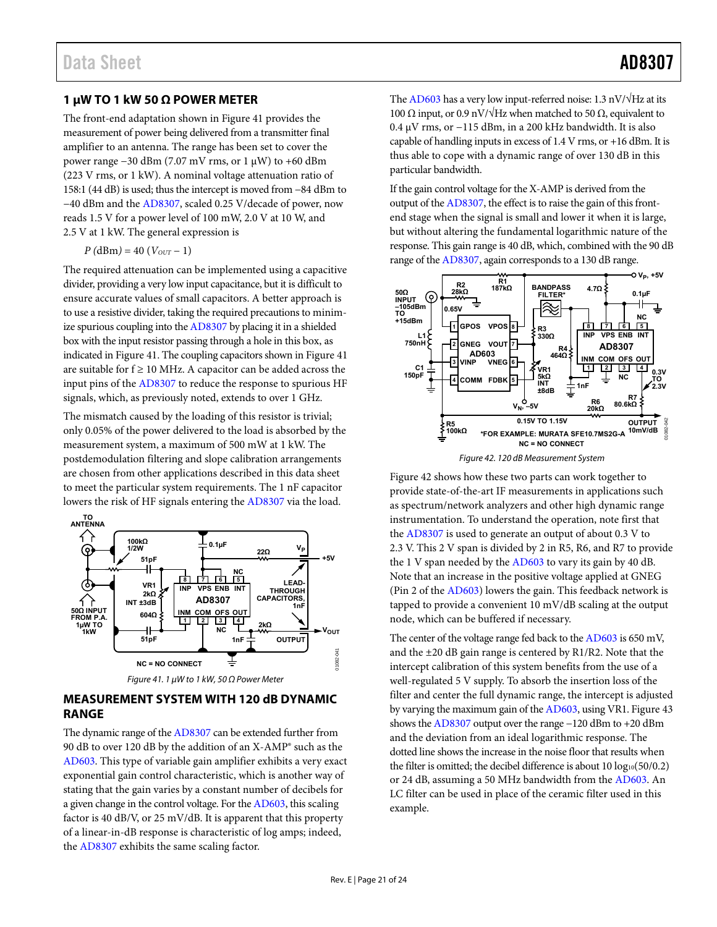### <span id="page-21-0"></span>**1 μW TO 1 kW 50 Ω POWER METER**

The front-end adaptation shown i[n Figure 41 p](#page-21-2)rovides the measurement of power being delivered from a transmitter final amplifier to an antenna. The range has been set to cover the power range −30 dBm (7.07 mV rms, or 1 μW) to +60 dBm (223 V rms, or 1 kW). A nominal voltage attenuation ratio of 158:1 (44 dB) is used; thus the intercept is moved from −84 dBm to −40 dBm and the [AD8307,](http://www.analog.com/AD8307?doc=AD8307.pdf) scaled 0.25 V/decade of power, now reads 1.5 V for a power level of 100 mW, 2.0 V at 10 W, and 2.5 V at 1 kW. The general expression is

 $P(dBm) = 40 (V_{OUT} - 1)$ 

The required attenuation can be implemented using a capacitive divider, providing a very low input capacitance, but it is difficult to ensure accurate values of small capacitors. A better approach is to use a resistive divider, taking the required precautions to minimize spurious coupling into th[e AD8307](http://www.analog.com/AD8307?doc=AD8307.pdf) by placing it in a shielded box with the input resistor passing through a hole in this box, as indicated i[n Figure 41.](#page-21-2) The coupling capacitors shown i[n Figure 41](#page-21-2)  are suitable for  $f \ge 10$  MHz. A capacitor can be added across the input pins of th[e AD8307 t](http://www.analog.com/AD8307?doc=AD8307.pdf)o reduce the response to spurious HF signals, which, as previously noted, extends to over 1 GHz.

The mismatch caused by the loading of this resistor is trivial; only 0.05% of the power delivered to the load is absorbed by the measurement system, a maximum of 500 mW at 1 kW. The postdemodulation filtering and slope calibration arrangements are chosen from other applications described in this data sheet to meet the particular system requirements. The 1 nF capacitor lowers the risk of HF signals entering th[e AD8307](http://www.analog.com/AD8307?doc=AD8307.pdf) via the load.







### <span id="page-21-2"></span><span id="page-21-1"></span>**MEASUREMENT SYSTEM WITH 120 dB DYNAMIC RANGE**

The dynamic range of th[e AD8307](http://www.analog.com/AD8307?doc=AD8307.pdf) can be extended further from 90 dB to over 120 dB by the addition of an X-AMP® such as the [AD603.](http://www.analog.com/ad603) This type of variable gain amplifier exhibits a very exact exponential gain control characteristic, which is another way of stating that the gain varies by a constant number of decibels for a given change in the control voltage. For th[e AD603,](http://www.analog.com/ad603?doc=AD8307.pdf) this scaling factor is 40 dB/V, or 25 mV/dB. It is apparent that this property of a linear-in-dB response is characteristic of log amps; indeed, the [AD8307](http://www.analog.com/AD8307?doc=AD8307.pdf) exhibits the same scaling factor.

Th[e AD603 h](http://www.analog.com/ad603?doc=AD8307.pdf)as a very low input-referred noise: 1.3 nV/ $\sqrt{Hz}$  at its 100 Ω input, or 0.9 nV/ $\sqrt{Hz}$  when matched to 50 Ω, equivalent to 0.4 μV rms, or −115 dBm, in a 200 kHz bandwidth. It is also capable of handling inputs in excess of 1.4 V rms, or +16 dBm. It is thus able to cope with a dynamic range of over 130 dB in this particular bandwidth.

If the gain control voltage for the X-AMP is derived from the output of th[e AD8307,](http://www.analog.com/AD8307?doc=AD8307.pdf) the effect is to raise the gain of this frontend stage when the signal is small and lower it when it is large, but without altering the fundamental logarithmic nature of the response. This gain range is 40 dB, which, combined with the 90 dB range of th[e AD8307,](http://www.analog.com/AD8307?doc=AD8307.pdf) again corresponds to a 130 dB range.



Figure 42. 120 dB Measurement System

<span id="page-21-3"></span>[Figure 42 s](#page-21-3)hows how these two parts can work together to provide state-of-the-art IF measurements in applications such as spectrum/network analyzers and other high dynamic range instrumentation. To understand the operation, note first that the [AD8307](http://www.analog.com/AD8307?doc=AD8307.pdf) is used to generate an output of about 0.3 V to 2.3 V. This 2 V span is divided by 2 in R5, R6, and R7 to provide the 1 V span needed by th[e AD603 t](http://www.analog.com/ad603?doc=AD8307.pdf)o vary its gain by 40 dB. Note that an increase in the positive voltage applied at GNEG (Pin 2 of the [AD603\)](http://www.analog.com/ad603?doc=AD8307.pdf) lowers the gain. This feedback network is tapped to provide a convenient 10 mV/dB scaling at the output node, which can be buffered if necessary.

The center of the voltage range fed back to th[e AD603 i](http://www.analog.com/ad603?doc=AD8307.pdf)s 650 mV, and the ±20 dB gain range is centered by R1/R2. Note that the intercept calibration of this system benefits from the use of a well-regulated 5 V supply. To absorb the insertion loss of the filter and center the full dynamic range, the intercept is adjusted by varying the maximum gain of th[e AD603,](http://www.analog.com/ad603?doc=AD8307.pdf) using VR1[. Figure 43](#page-22-1)  shows th[e AD8307 o](http://www.analog.com/AD8307?doc=AD8307.pdf)utput over the range −120 dBm to +20 dBm and the deviation from an ideal logarithmic response. The dotted line shows the increase in the noise floor that results when the filter is omitted; the decibel difference is about  $10 \log_{10}(50/0.2)$ or 24 dB, assuming a 50 MHz bandwidth from th[e AD603.](http://www.analog.com/ad603?doc=AD8307.pdf) An LC filter can be used in place of the ceramic filter used in this example.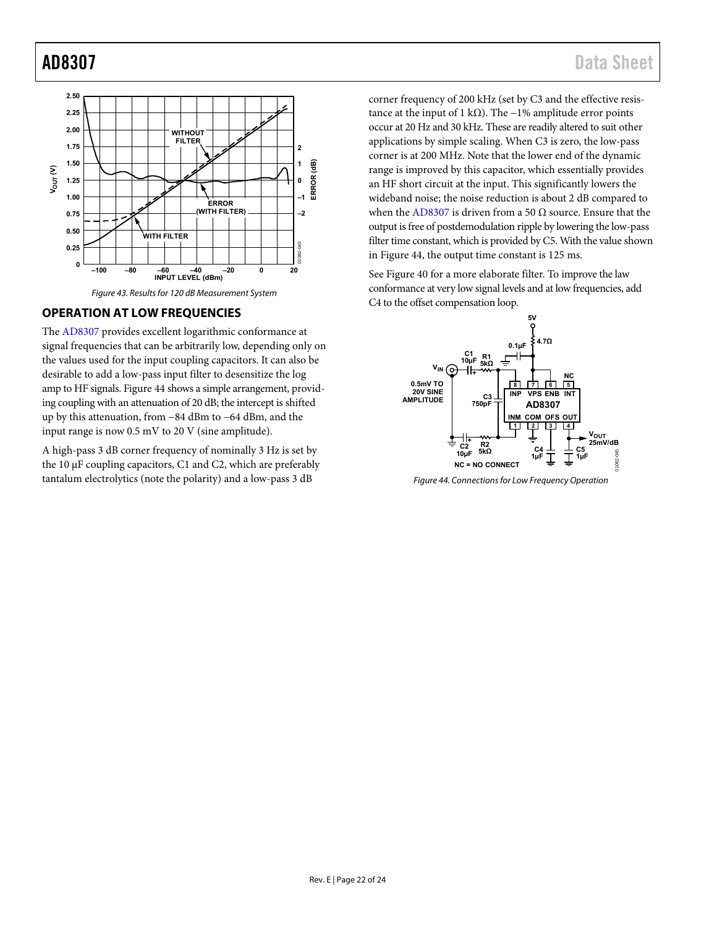

## <span id="page-22-1"></span><span id="page-22-0"></span>**OPERATION AT LOW FREQUENCIES**

The [AD8307 p](http://www.analog.com/AD8307?doc=AD8307.pdf)rovides excellent logarithmic conformance at signal frequencies that can be arbitrarily low, depending only on the values used for the input coupling capacitors. It can also be desirable to add a low-pass input filter to desensitize the log amp to HF signals[. Figure 44](#page-22-2) shows a simple arrangement, providing coupling with an attenuation of 20 dB; the intercept is shifted up by this attenuation, from −84 dBm to −64 dBm, and the input range is now 0.5 mV to 20 V (sine amplitude).

A high-pass 3 dB corner frequency of nominally 3 Hz is set by the 10 μF coupling capacitors, C1 and C2, which are preferably tantalum electrolytics (note the polarity) and a low-pass 3 dB

corner frequency of 200 kHz (set by C3 and the effective resistance at the input of 1 kΩ). The  $-1%$  amplitude error points occur at 20 Hz and 30 kHz. These are readily altered to suit other applications by simple scaling. When C3 is zero, the low-pass corner is at 200 MHz. Note that the lower end of the dynamic range is improved by this capacitor, which essentially provides an HF short circuit at the input. This significantly lowers the wideband noise; the noise reduction is about 2 dB compared to when th[e AD8307](http://www.analog.com/AD8307?doc=AD8307.pdf) is driven from a 50  $\Omega$  source. Ensure that the output is free of postdemodulation ripple by lowering the low-pass filter time constant, which is provided by C5. With the value shown in [Figure 44,](#page-22-2) the output time constant is 125 ms.

See [Figure 40 f](#page-20-5)or a more elaborate filter. To improve the law conformance at very low signal levels and at low frequencies, add C4 to the offset compensation loop.



<span id="page-22-2"></span>Figure 44. Connections for Low Frequency Operation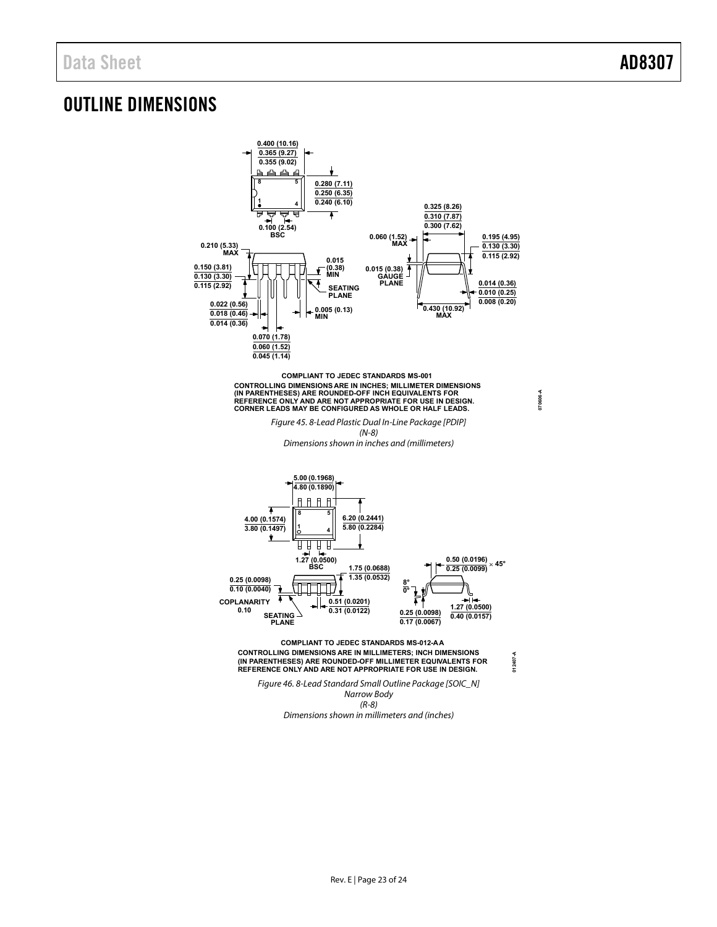**070606-A**

## <span id="page-23-0"></span>OUTLINE DIMENSIONS